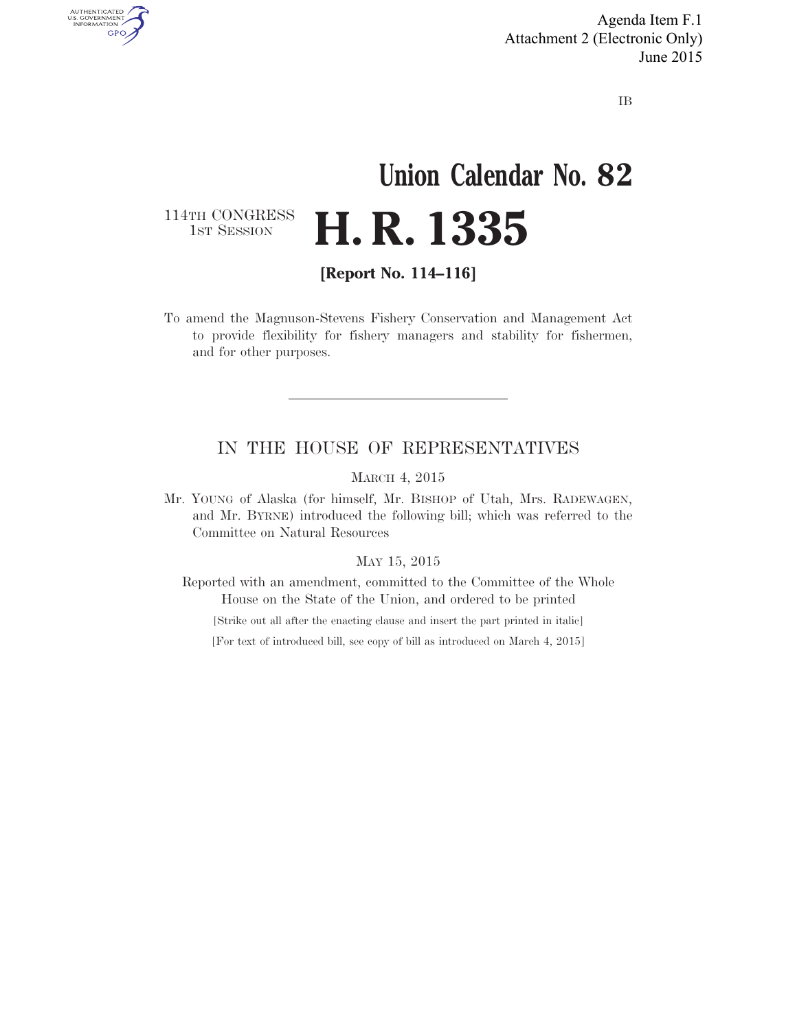Agenda Item F.1 Attachment 2 (Electronic Only) June 2015

IB

# **Union Calendar No. 82 H. R. 1335**

114TH CONGRESS<br>1st Session

AUTHENTICATED<br>U.S. GOVERNMENT<br>INFORMATION **GPO** 

**[Report No. 114–116]** 

To amend the Magnuson-Stevens Fishery Conservation and Management Act to provide flexibility for fishery managers and stability for fishermen, and for other purposes.

#### IN THE HOUSE OF REPRESENTATIVES

MARCH 4, 2015

Mr. YOUNG of Alaska (for himself, Mr. BISHOP of Utah, Mrs. RADEWAGEN, and Mr. BYRNE) introduced the following bill; which was referred to the Committee on Natural Resources

#### MAY 15, 2015

Reported with an amendment, committed to the Committee of the Whole House on the State of the Union, and ordered to be printed

[Strike out all after the enacting clause and insert the part printed in italic]

[For text of introduced bill, see copy of bill as introduced on March 4, 2015]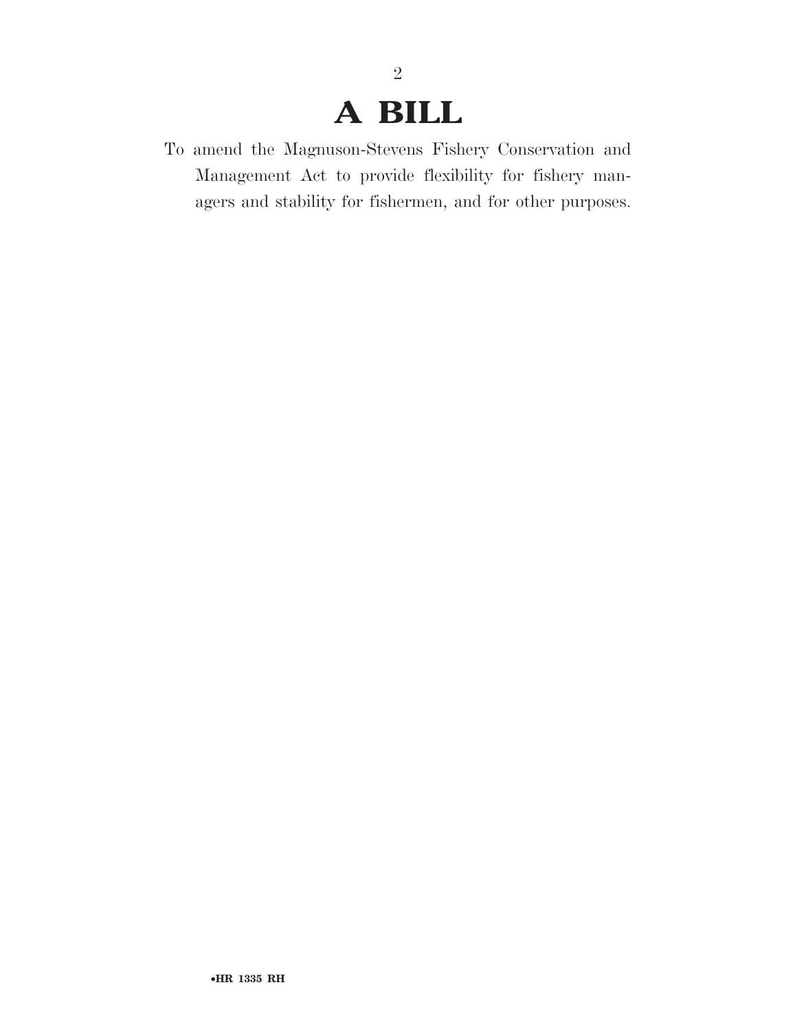# **A BILL**

2

To amend the Magnuson-Stevens Fishery Conservation and Management Act to provide flexibility for fishery managers and stability for fishermen, and for other purposes.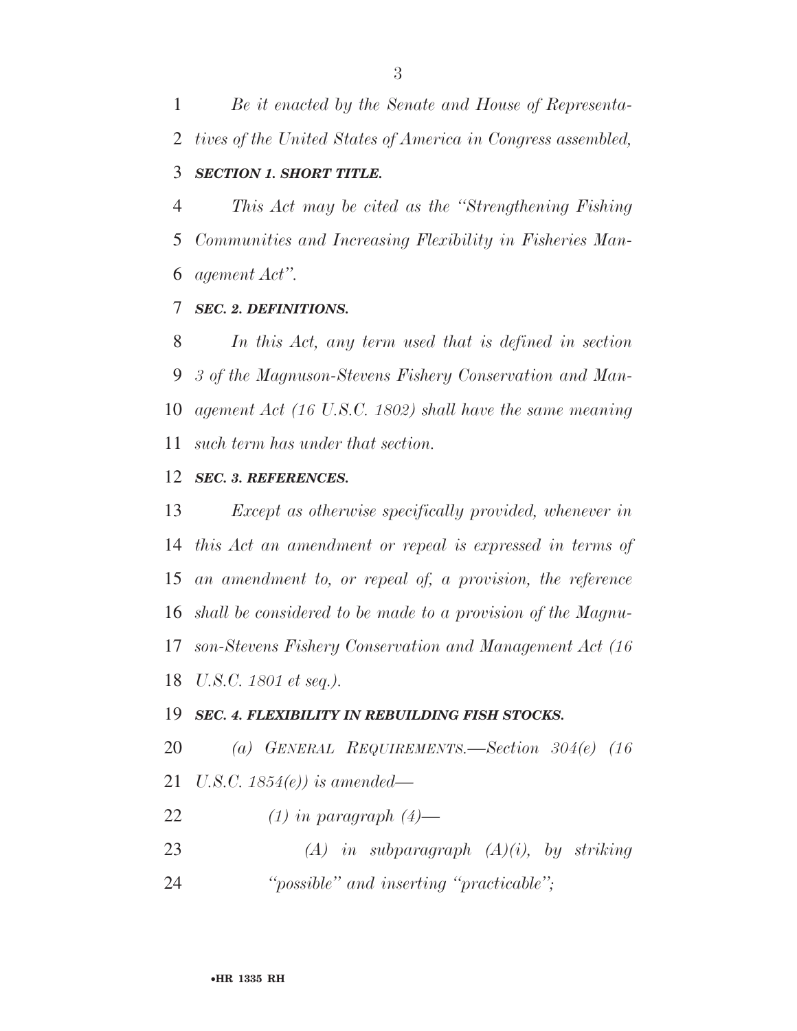*Be it enacted by the Senate and House of Representa- tives of the United States of America in Congress assembled, SECTION 1. SHORT TITLE.* 

 *This Act may be cited as the ''Strengthening Fishing Communities and Increasing Flexibility in Fisheries Man-agement Act''.* 

#### *SEC. 2. DEFINITIONS.*

 *In this Act, any term used that is defined in section 3 of the Magnuson-Stevens Fishery Conservation and Man- agement Act (16 U.S.C. 1802) shall have the same meaning such term has under that section.* 

#### *SEC. 3. REFERENCES.*

 *Except as otherwise specifically provided, whenever in this Act an amendment or repeal is expressed in terms of an amendment to, or repeal of, a provision, the reference shall be considered to be made to a provision of the Magnu- son-Stevens Fishery Conservation and Management Act (16 U.S.C. 1801 et seq.).* 

#### *SEC. 4. FLEXIBILITY IN REBUILDING FISH STOCKS.*

*(a) GENERAL REQUIREMENTS.—Section 304(e) (16* 

- *U.S.C. 1854(e)) is amended—*
- *(1) in paragraph (4)—*
- *(A) in subparagraph (A)(i), by striking*
- *''possible'' and inserting ''practicable'';*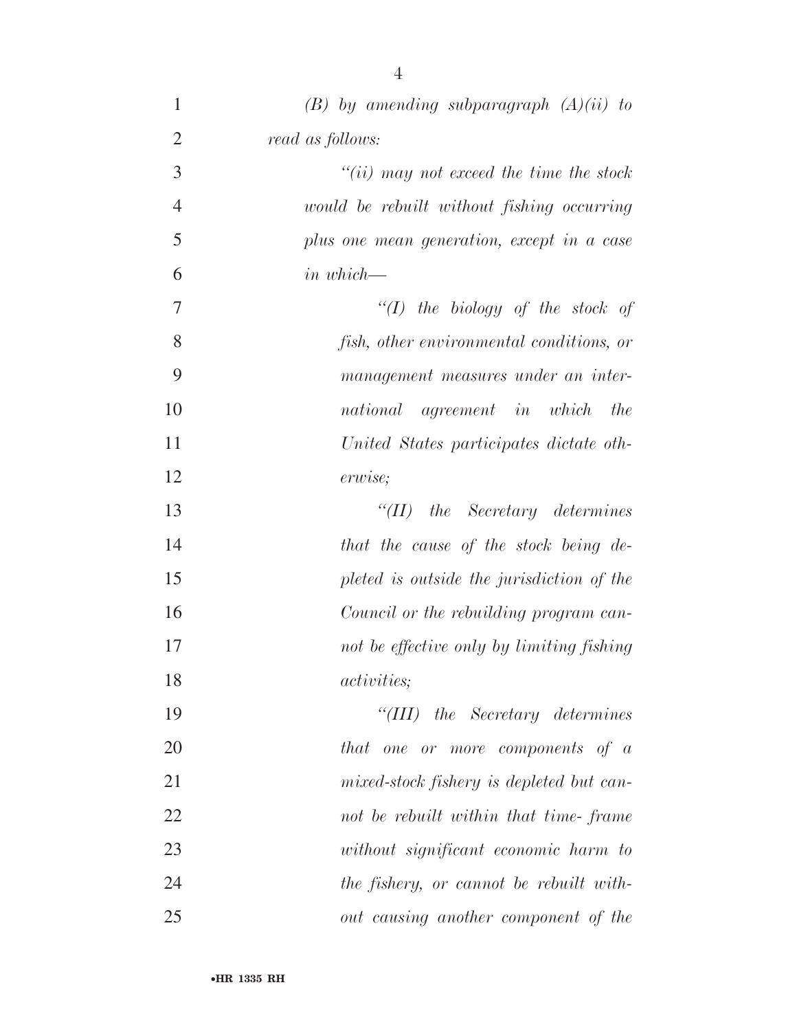| $\mathbf{1}$   | $(B)$ by amending subparagraph $(A)(ii)$ to |
|----------------|---------------------------------------------|
| $\overline{2}$ | read as follows:                            |
| 3              | $``(ii)$ may not exceed the time the stock  |
| $\overline{4}$ | would be rebuilt without fishing occurring  |
| 5              | plus one mean generation, except in a case  |
| 6              | $\sum_{i=1}^{n}$ in which-                  |
| 7              | "(I) the biology of the stock of            |
| 8              | fish, other environmental conditions, or    |
| 9              | management measures under an inter-         |
| 10             | national agreement in which<br>the          |
| 11             | United States participates dictate oth-     |
| 12             | erwise;                                     |
| 13             | $\lq$ (II) the Secretary determines         |
| 14             | that the cause of the stock being de-       |
| 15             | pleted is outside the jurisdiction of the   |
| 16             | Council or the rebuilding program can-      |
| 17             | not be effective only by limiting fishing   |
| 18             | <i>activities</i> ;                         |
| 19             | $``(III)$ the Secretary determines          |
| 20             | that one or more components of a            |
| 21             | mixed-stock fishery is depleted but can-    |
| 22             | not be rebuilt within that time-frame       |
| 23             | without significant economic harm to        |
| 24             | the fishery, or cannot be rebuilt with-     |
| 25             | out causing another component of the        |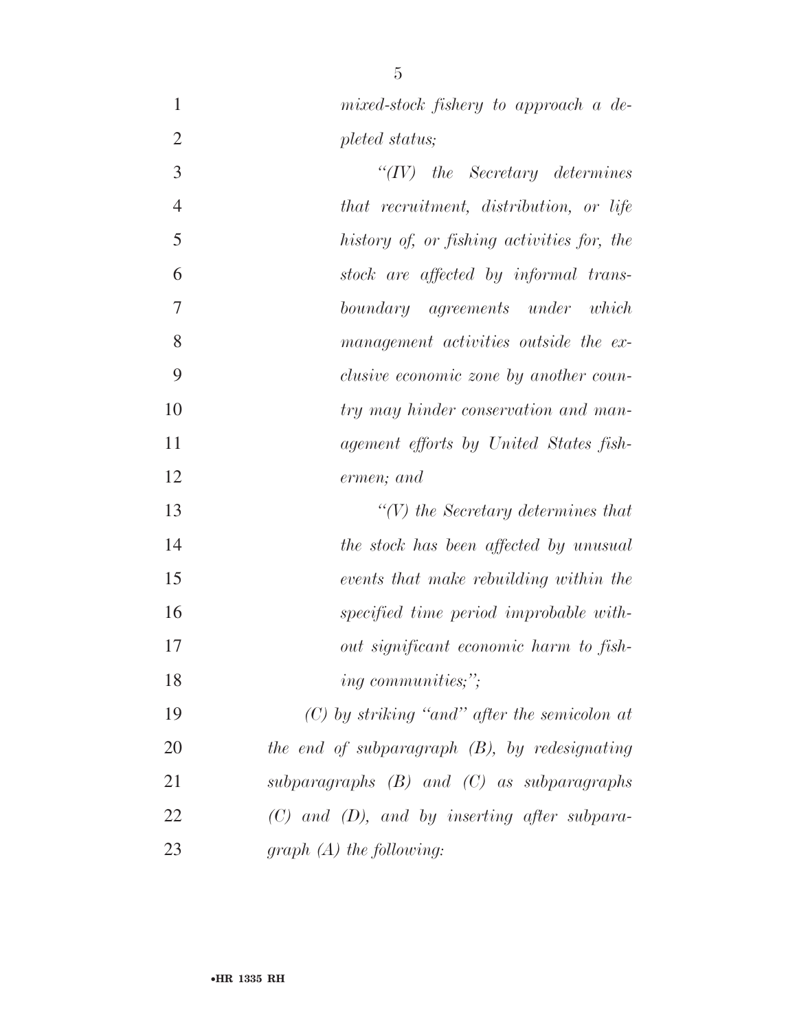- 
- *mixed-stock fishery to approach a de-pleted status;*
- *''(IV) the Secretary determines that recruitment, distribution, or life history of, or fishing activities for, the stock are affected by informal trans- boundary agreements under which management activities outside the ex- clusive economic zone by another coun- try may hinder conservation and man- agement efforts by United States fish- ermen; and ''(V) the Secretary determines that*
- *the stock has been affected by unusual events that make rebuilding within the specified time period improbable with- out significant economic harm to fish-ing communities;'';*
- *(C) by striking ''and'' after the semicolon at the end of subparagraph (B), by redesignating subparagraphs (B) and (C) as subparagraphs (C) and (D), and by inserting after subpara-graph (A) the following:*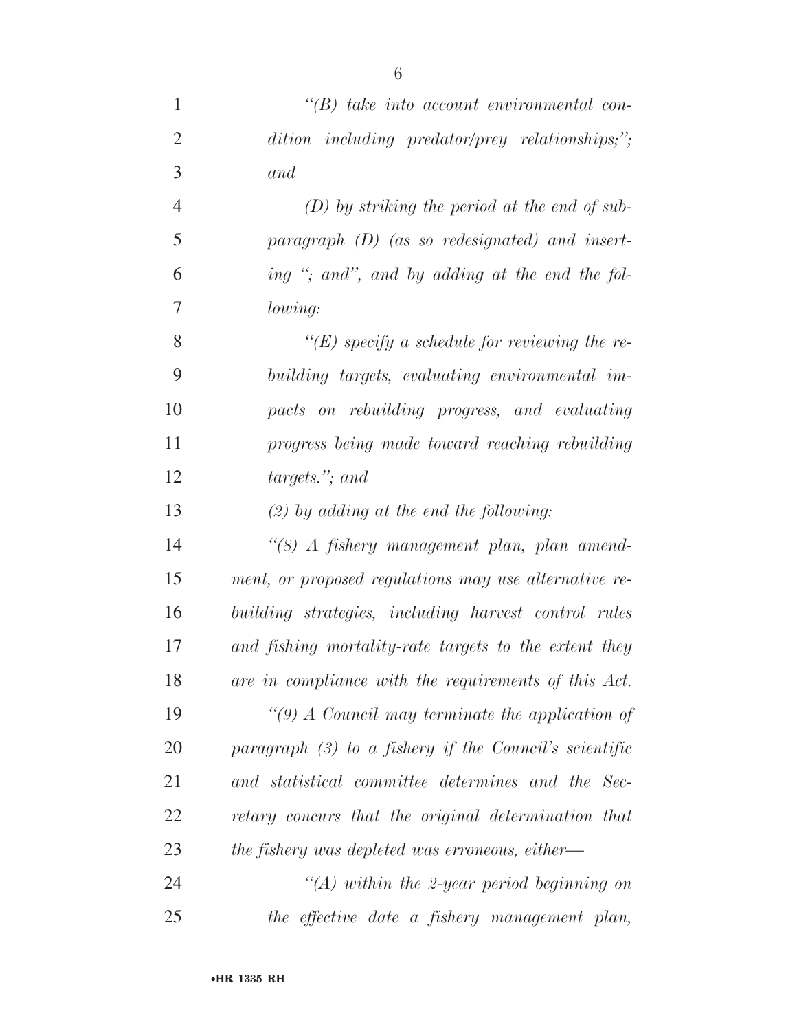| $\mathbf{1}$   | $\lq\lq(B)$ take into account environmental con-         |
|----------------|----------------------------------------------------------|
| $\overline{2}$ | dition including predator/prey relationships;";          |
| 3              | and                                                      |
| $\overline{4}$ | $(D)$ by striking the period at the end of sub-          |
| 5              | paragraph $(D)$ (as so redesignated) and insert-         |
| 6              | ing "; and", and by adding at the end the fol-           |
| 7              | lowing:                                                  |
| 8              | " $(E)$ specify a schedule for reviewing the re-         |
| 9              | building targets, evaluating environmental im-           |
| 10             | pacts on rebuilding progress, and evaluating             |
| 11             | progress being made toward reaching rebuilding           |
| 12             | targets."; and                                           |
| 13             | $(2)$ by adding at the end the following:                |
| 14             | "(8) A fishery management plan, plan amend-              |
| 15             | ment, or proposed regulations may use alternative re-    |
| 16             | building strategies, including harvest control rules     |
| 17             | and fishing mortality-rate targets to the extent they    |
| 18             | are in compliance with the requirements of this Act.     |
| 19             | "(9) A Council may terminate the application of          |
| 20             | paragraph $(3)$ to a fishery if the Council's scientific |
| 21             | and statistical committee determines and the Sec-        |
| 22             | retary concurs that the original determination that      |
| 23             | the fishery was depleted was erroneous, either—          |
| 24             | $\lq (A)$ within the 2-year period beginning on          |
| 25             | the effective date a fishery management plan,            |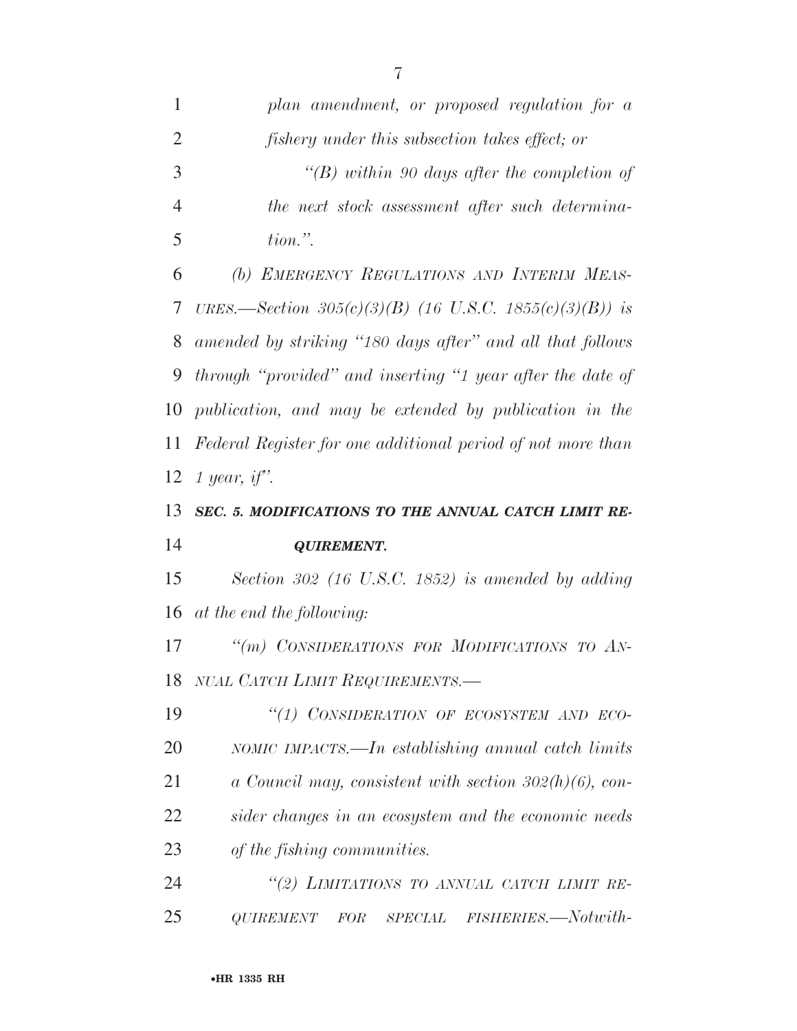| 1              | plan amendment, or proposed regulation for a                |
|----------------|-------------------------------------------------------------|
| $\overline{2}$ | <i>fishery under this subsection takes effect; or</i>       |
| 3              | "(B) within 90 days after the completion of                 |
| $\overline{4}$ | the next stock assessment after such determina-             |
| 5              | $tion.$ ".                                                  |
| 6              | (b) EMERGENCY REGULATIONS AND INTERIM MEAS-                 |
| 7              | URES.—Section 305(c)(3)(B) (16 U.S.C. 1855(c)(3)(B)) is     |
| 8              | amended by striking "180 days after" and all that follows   |
| 9              | through "provided" and inserting "1 year after the date of  |
| 10             | publication, and may be extended by publication in the      |
| 11             | Federal Register for one additional period of not more than |
| 12             | 1 year, if".                                                |
| 13             | SEC. 5. MODIFICATIONS TO THE ANNUAL CATCH LIMIT RE-         |
|                |                                                             |
| 14             | <b>QUIREMENT.</b>                                           |
| 15             | Section 302 (16 U.S.C. 1852) is amended by adding           |
| 16             | at the end the following:                                   |
| 17             | "(m) CONSIDERATIONS FOR MODIFICATIONS TO AN-                |
|                | 18 NUAL CATCH LIMIT REQUIREMENTS.                           |
| 19             | "(1) CONSIDERATION OF ECOSYSTEM AND ECO-                    |
| 20             | NOMIC IMPACTS.—In establishing annual catch limits          |
| 21             | a Council may, consistent with section $302(h)(6)$ , con-   |
| 22             | sider changes in an ecosystem and the economic needs        |
| 23             | of the fishing communities.                                 |
| 24             | "(2) LIMITATIONS TO ANNUAL CATCH LIMIT RE-                  |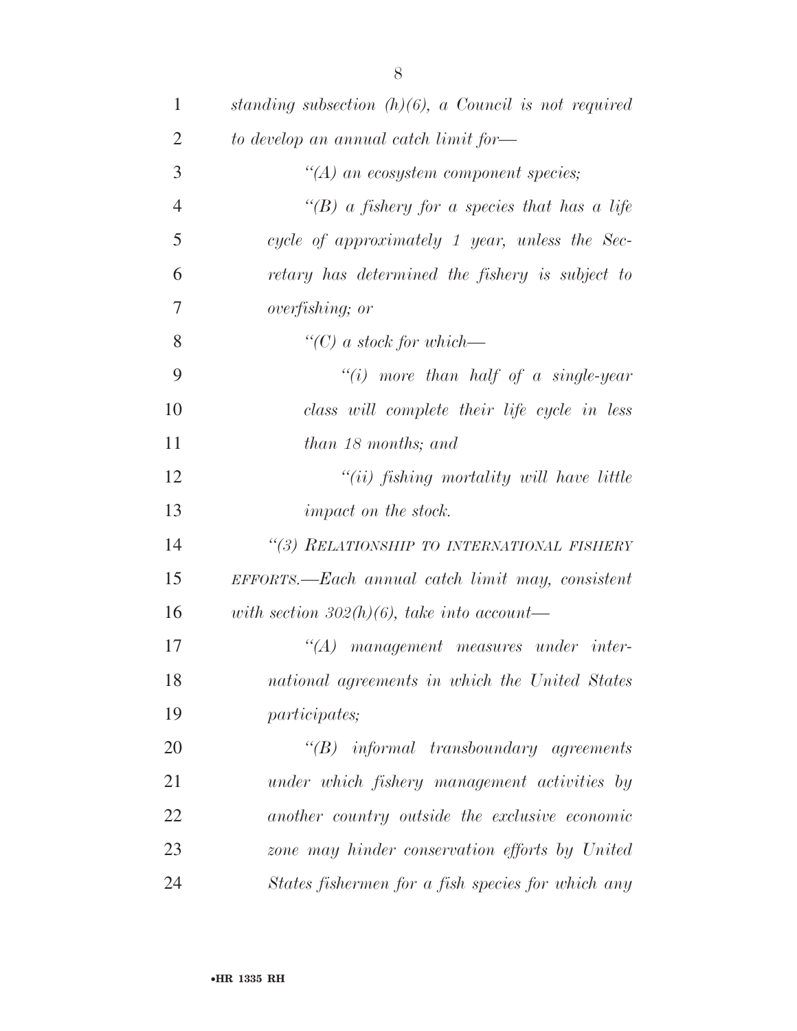| $\mathbf{1}$   | standing subsection $(h)(6)$ , a Council is not required |
|----------------|----------------------------------------------------------|
| $\overline{2}$ | to develop an annual catch limit for—                    |
| 3              | $\lq\lq (A)$ an ecosystem component species;             |
| $\overline{4}$ | "(B) a fishery for a species that has a life             |
| 5              | cycle of approximately 1 year, unless the Sec-           |
| 6              | retary has determined the fishery is subject to          |
| 7              | <i>overfishing</i> ; <i>or</i>                           |
| 8              | $\lq\lq C$ ) a stock for which—                          |
| 9              | "(i) more than half of a single-year                     |
| 10             | class will complete their life cycle in less             |
| 11             | than 18 months; and                                      |
| 12             | $``(ii)$ fishing mortality will have little              |
| 13             | <i>impact on the stock.</i>                              |
| 14             | "(3) RELATIONSHIP TO INTERNATIONAL FISHERY               |
| 15             | EFFORTS.—Each annual catch limit may, consistent         |
| 16             | with section 302(h)(6), take into account—               |
| 17             | $\lq (A)$<br>management measures under inter-            |
| 18             | national agreements in which the United States           |
| 19             | <i>participates</i> ;                                    |
| 20             | $\lq\lq B$ informal transboundary agreements             |
| 21             | under which fishery management activities by             |
| 22             | another country outside the exclusive economic           |
| 23             | zone may hinder conservation efforts by United           |
| 24             | States fishermen for a fish species for which any        |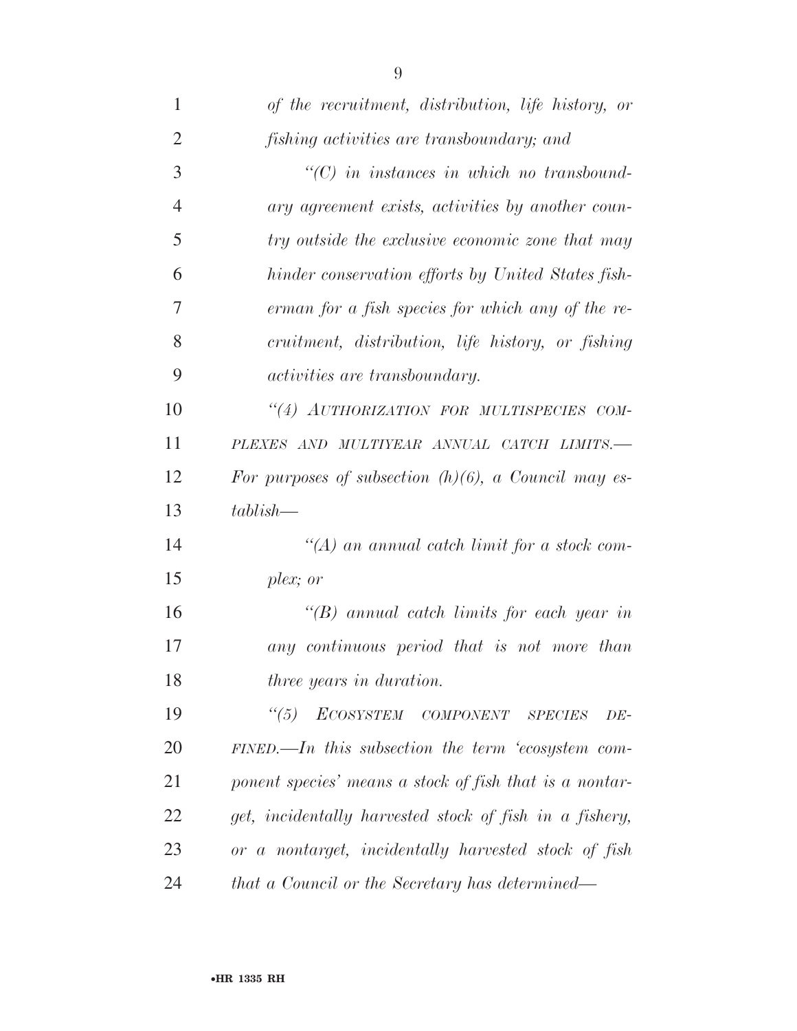| $\mathbf{1}$   | of the recruitment, distribution, life history, or      |
|----------------|---------------------------------------------------------|
| $\overline{2}$ | fishing activities are transboundary; and               |
| 3              | $\lq\lq C$ ) in instances in which no transbound-       |
| $\overline{4}$ | ary agreement exists, activities by another coun-       |
| 5              | try outside the exclusive economic zone that may        |
| 6              | hinder conservation efforts by United States fish-      |
| 7              | erman for a fish species for which any of the re-       |
| 8              | cruitment, distribution, life history, or fishing       |
| 9              | <i>activities are transboundary.</i>                    |
| 10             | "(4) AUTHORIZATION FOR MULTISPECIES COM-                |
| 11             | PLEXES AND MULTIYEAR ANNUAL CATCH LIMITS.-              |
| 12             | For purposes of subsection $(h)(6)$ , a Council may es- |
| 13             | $tablish-$                                              |
| 14             | $\lq (A)$ an annual catch limit for a stock com-        |
| 15             | plex; or                                                |
| 16             | $\lq\lq(B)$ annual catch limits for each year in        |
| 17             | any continuous period that is not more than             |
| 18             | three years in duration.                                |
| 19             | $\frac{1}{5}$<br>ECOSYSTEM COMPONENT SPECIES<br>$DE-$   |
| <b>20</b>      | $FINED$ . In this subsection the term 'ecosystem com-   |
| 21             | ponent species' means a stock of fish that is a nontar- |
| 22             | get, incidentally harvested stock of fish in a fishery, |
| 23             | or a nontarget, incidentally harvested stock of fish    |
| 24             | that a Council or the Secretary has determined—         |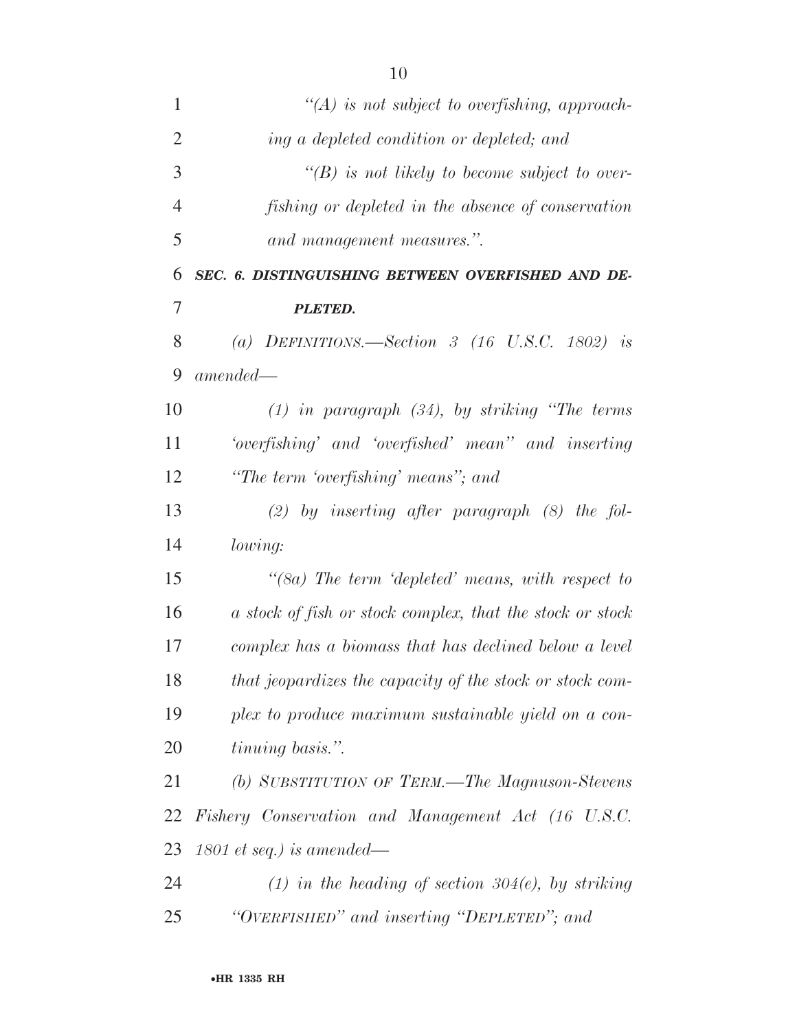| 1              | $\lq (A)$ is not subject to overfishing, approach-                 |
|----------------|--------------------------------------------------------------------|
| $\overline{2}$ | ing a depleted condition or depleted; and                          |
| 3              | $\lq (B)$ is not likely to become subject to over-                 |
| $\overline{4}$ | fishing or depleted in the absence of conservation                 |
| 5              | and management measures.".                                         |
| 6              | SEC. 6. DISTINGUISHING BETWEEN OVERFISHED AND DE-                  |
| 7              | <b>PLETED.</b>                                                     |
| 8              | (a) DEFINITIONS.—Section 3 (16 U.S.C. 1802) is                     |
| 9              | $amended -$                                                        |
| 10             | $(1)$ in paragraph $(34)$ , by striking "The terms"                |
| 11             | 'overfishing' and 'overfished' mean'' and inserting                |
| 12             | "The term 'overfishing' means"; and                                |
| 13             | $(2)$ by inserting after paragraph $(8)$ the fol-                  |
| 14             | lowing:                                                            |
| 15             | $\degree$ (8a) The term $\degree$ depleted' means, with respect to |
| 16             | a stock of fish or stock complex, that the stock or stock          |
| 17             | complex has a biomass that has declined below a level              |
| 18             | that jeopardizes the capacity of the stock or stock com-           |
| 19             | plex to produce maximum sustainable yield on a con-                |
| 20             | tinuing basis.".                                                   |
| 21             | (b) SUBSTITUTION OF TERM.—The Magnuson-Stevens                     |
| 22             | Fishery Conservation and Management Act (16 U.S.C.                 |
| 23             | $1801$ et seq.) is amended—                                        |
| 24             | (1) in the heading of section $304(e)$ , by striking               |
| 25             | "OVERFISHED" and inserting "DEPLETED"; and                         |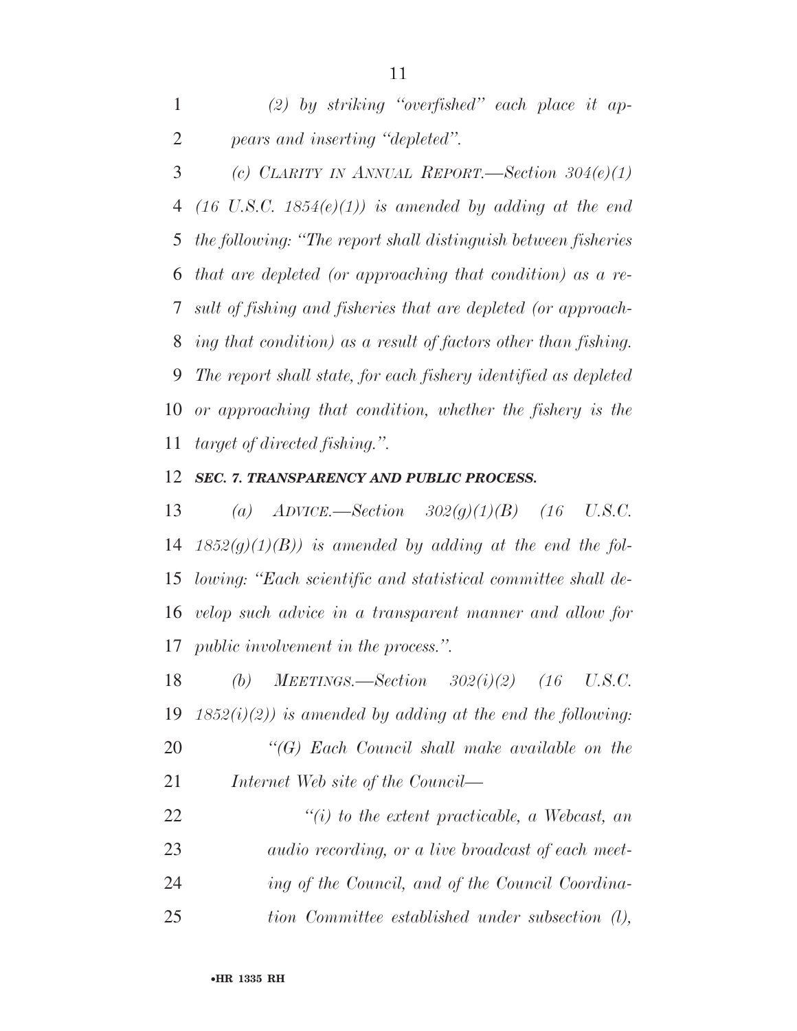*(2) by striking ''overfished'' each place it ap-pears and inserting ''depleted''.* 

 *(c) CLARITY IN ANNUAL REPORT.—Section 304(e)(1) (16 U.S.C. 1854(e)(1)) is amended by adding at the end the following: ''The report shall distinguish between fisheries that are depleted (or approaching that condition) as a re- sult of fishing and fisheries that are depleted (or approach- ing that condition) as a result of factors other than fishing. The report shall state, for each fishery identified as depleted or approaching that condition, whether the fishery is the target of directed fishing.''.* 

#### *SEC. 7. TRANSPARENCY AND PUBLIC PROCESS.*

 *(a) ADVICE.—Section 302(g)(1)(B) (16 U.S.C. 1852(g)(1)(B)) is amended by adding at the end the fol- lowing: ''Each scientific and statistical committee shall de- velop such advice in a transparent manner and allow for public involvement in the process.''.* 

 *(b) MEETINGS.—Section 302(i)(2) (16 U.S.C. 1852(i)(2)) is amended by adding at the end the following: ''(G) Each Council shall make available on the Internet Web site of the Council—* 

 *''(i) to the extent practicable, a Webcast, an audio recording, or a live broadcast of each meet- ing of the Council, and of the Council Coordina-tion Committee established under subsection (l),*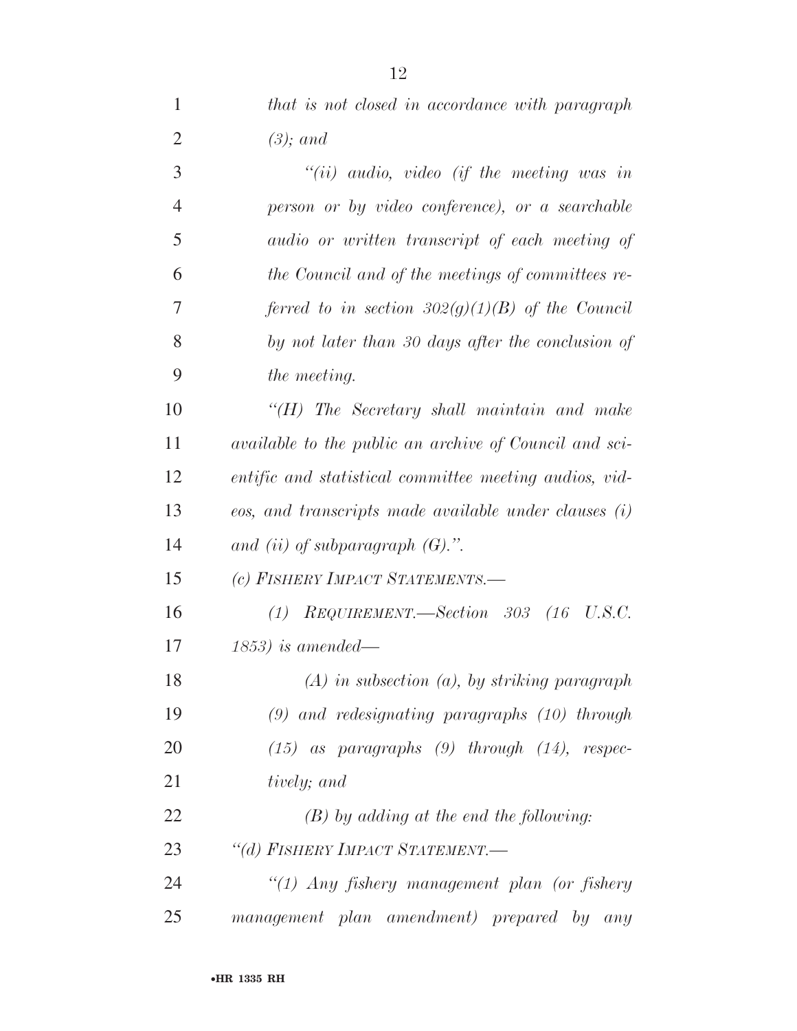*that is not closed in accordance with paragraph* 

| $\overline{2}$ | $(3)$ ; and                                                   |
|----------------|---------------------------------------------------------------|
| 3              | $``(ii)$ audio, video (if the meeting was in                  |
| $\overline{4}$ | person or by video conference), or a searchable               |
| 5              | audio or written transcript of each meeting of                |
| 6              | the Council and of the meetings of committees re-             |
| 7              | ferred to in section $302(g)(1)(B)$ of the Council            |
| 8              | by not later than 30 days after the conclusion of             |
| 9              | the meeting.                                                  |
| 10             | $H$ ) The Secretary shall maintain and make                   |
| 11             | <i>available to the public an archive of Council and sci-</i> |
| 12             | entific and statistical committee meeting audios, vid-        |
| 13             | eos, and transcripts made available under clauses (i)         |
| 14             | and (ii) of subparagraph $(G)$ .".                            |
| 15             | (c) FISHERY IMPACT STATEMENTS.-                               |
| 16             | $(1)$ REQUIREMENT.—Section 303 $(16 \text{ U.S.C.})$          |
| 17             | $(1853)$ is amended—                                          |
| 18             | $(A)$ in subsection $(a)$ , by striking paragraph             |
| 19             | $(9)$ and redesignating paragraphs $(10)$ through             |
| 20             | $(15)$ as paragraphs $(9)$ through $(14)$ , respec-           |
| 21             | tively; and                                                   |
| 22             | $(B)$ by adding at the end the following:                     |
| 23             | "(d) FISHERY IMPACT STATEMENT.-                               |
| 24             | "(1) Any fishery management plan (or fishery                  |
| 25             | management plan amendment) prepared by any                    |
|                |                                                               |
|                | <b>•HR 1335 RH</b>                                            |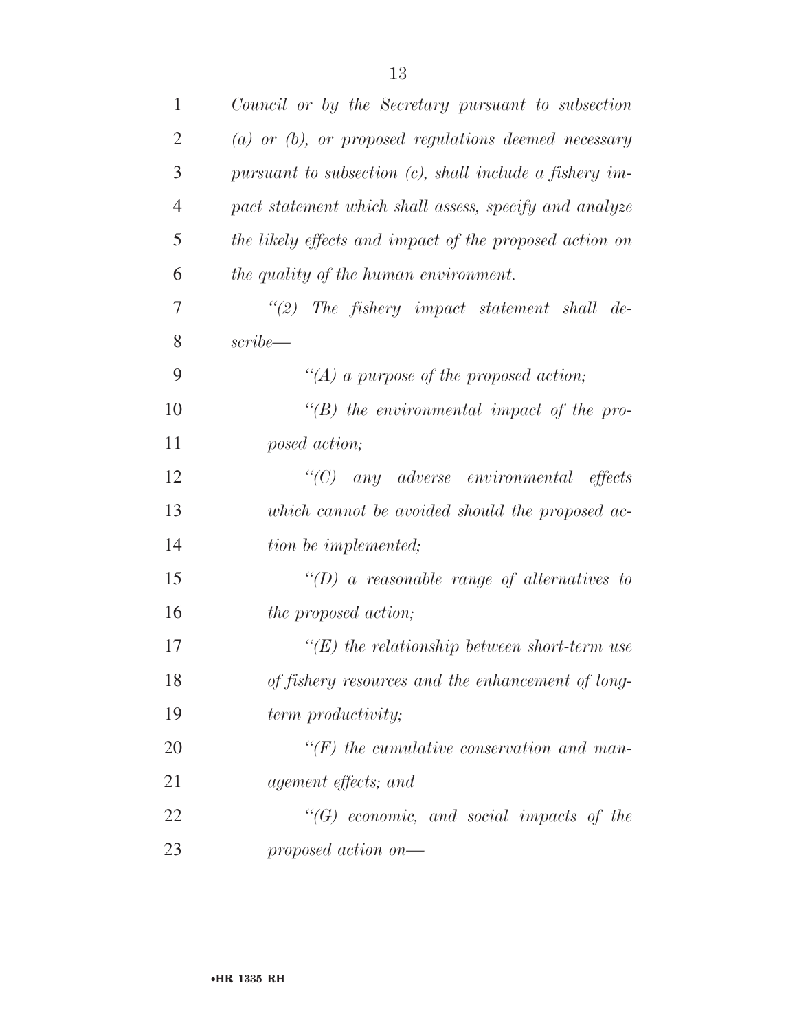| 1              | Council or by the Secretary pursuant to subsection         |
|----------------|------------------------------------------------------------|
| $\overline{2}$ | $(a)$ or $(b)$ , or proposed regulations deemed necessary  |
| 3              | pursuant to subsection $(c)$ , shall include a fishery im- |
| $\overline{4}$ | pact statement which shall assess, specify and analyze     |
| 5              | the likely effects and impact of the proposed action on    |
| 6              | the quality of the human environment.                      |
| 7              | $\lq(2)$ The fishery impact statement shall de-            |
| 8              | script                                                     |
| 9              | "(A) a purpose of the proposed action;                     |
| 10             | $\lq\lq(B)$ the environmental impact of the pro-           |
| 11             | posed action;                                              |
| 12             | $\lq\lq C$ any adverse environmental effects               |
| 13             | which cannot be avoided should the proposed ac-            |
| 14             | tion be implemented;                                       |
| 15             | $\lq\lq(D)$ a reasonable range of alternatives to          |
| 16             | <i>the proposed action;</i>                                |
| 17             | $\lq\lq(E)$ the relationship between short-term use        |
| 18             | of fishery resources and the enhancement of long-          |
| 19             | term productivity;                                         |
| 20             | $\lq (F)$ the cumulative conservation and man-             |
| 21             | agement effects; and                                       |
| 22             | $\lq\lq (G)$ economic, and social impacts of the           |
| 23             | proposed action on—                                        |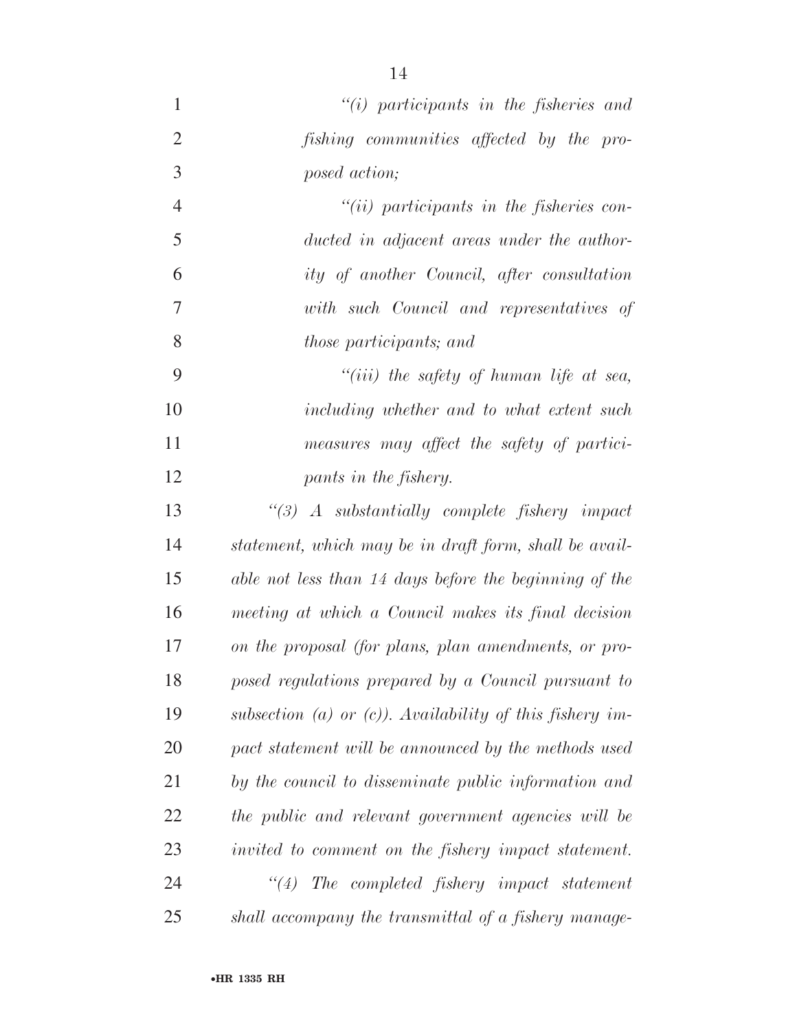| $\mathbf{1}$   | $``(i)$ participants in the fisheries and                |
|----------------|----------------------------------------------------------|
| $\overline{2}$ | fishing communities affected by the pro-                 |
| 3              | posed action;                                            |
| $\overline{4}$ | $``(ii)$ participants in the fisheries con-              |
| 5              | ducted in adjacent areas under the author-               |
| 6              | ity of another Council, after consultation               |
| $\overline{7}$ | with such Council and representatives of                 |
| 8              | <i>those participants; and</i>                           |
| 9              | "(iii) the safety of human life at sea,                  |
| 10             | including whether and to what extent such                |
| 11             | measures may affect the safety of partici-               |
| 12             | pants in the fishery.                                    |
| 13             | $\lq(3)$ A substantially complete fishery impact         |
| 14             | statement, which may be in draft form, shall be avail-   |
| 15             | able not less than 14 days before the beginning of the   |
| 16             | meeting at which a Council makes its final decision      |
| 17             | on the proposal (for plans, plan amendments, or pro-     |
| 18             | posed regulations prepared by a Council pursuant to      |
| 19             | subsection (a) or (c)). Availability of this fishery im- |
| 20             | pact statement will be announced by the methods used     |
| 21             | by the council to disseminate public information and     |
| 22             | the public and relevant government agencies will be      |
| 23             | invited to comment on the fishery impact statement.      |
| 24             | ``(4)<br>The completed fishery impact statement          |
| 25             | shall accompany the transmittal of a fishery manage-     |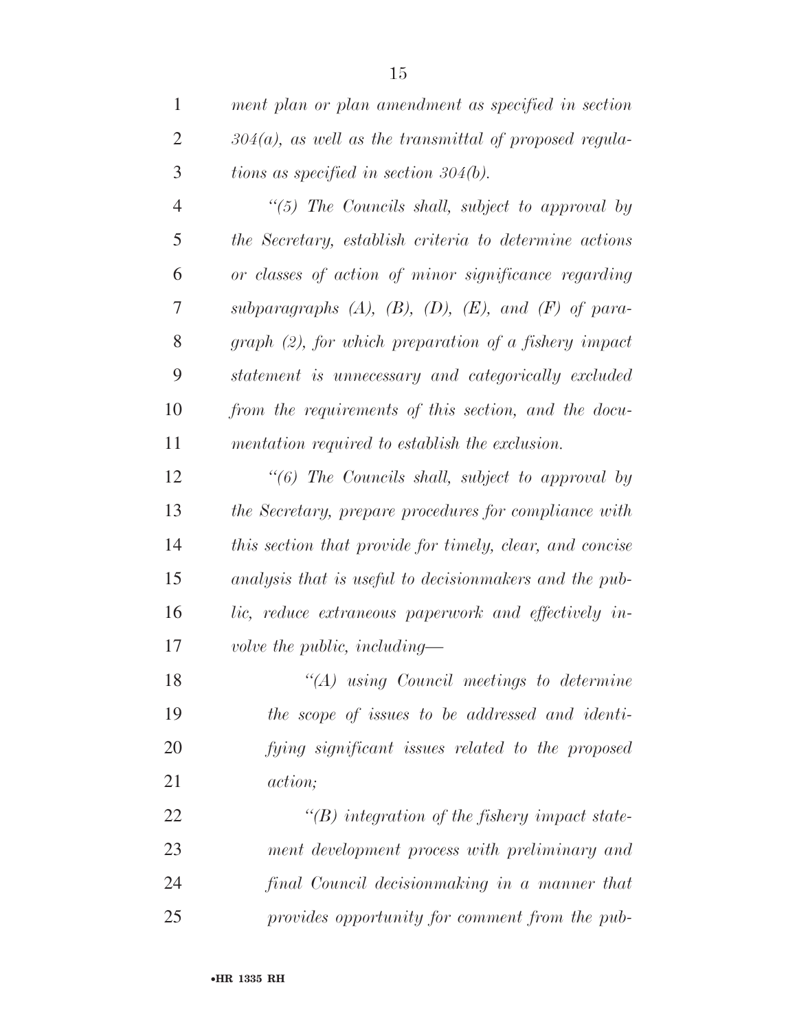*ment plan or plan amendment as specified in section 304(a), as well as the transmittal of proposed regula-tions as specified in section 304(b).* 

 *''(5) The Councils shall, subject to approval by the Secretary, establish criteria to determine actions or classes of action of minor significance regarding subparagraphs (A), (B), (D), (E), and (F) of para- graph (2), for which preparation of a fishery impact statement is unnecessary and categorically excluded from the requirements of this section, and the docu-mentation required to establish the exclusion.* 

 *''(6) The Councils shall, subject to approval by the Secretary, prepare procedures for compliance with this section that provide for timely, clear, and concise analysis that is useful to decisionmakers and the pub- lic, reduce extraneous paperwork and effectively in-volve the public, including—* 

 *''(A) using Council meetings to determine the scope of issues to be addressed and identi- fying significant issues related to the proposed action;* 

 *''(B) integration of the fishery impact state- ment development process with preliminary and final Council decisionmaking in a manner that provides opportunity for comment from the pub-*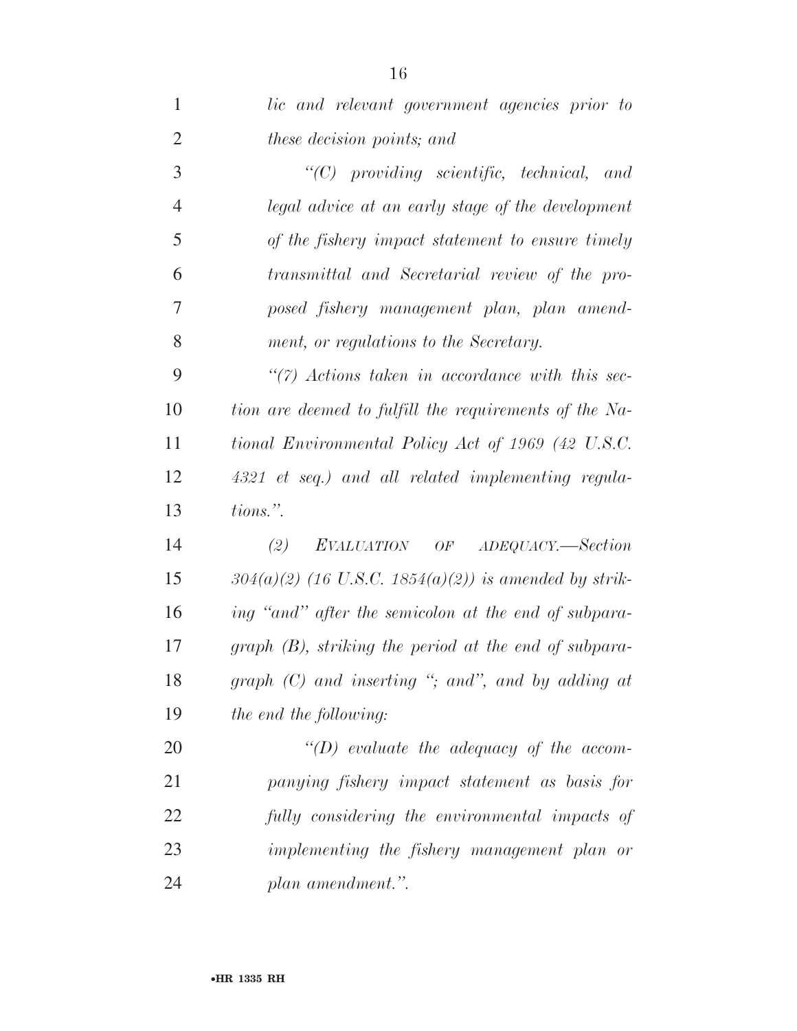| $\mathbf{1}$   | lic and relevant government agencies prior to           |
|----------------|---------------------------------------------------------|
| $\overline{2}$ | these decision points; and                              |
| 3              | $"$ (C) providing scientific, technical, and            |
| $\overline{4}$ | legal advice at an early stage of the development       |
| 5              | of the fishery impact statement to ensure timely        |
| 6              | transmittal and Secretarial review of the pro-          |
| 7              | posed fishery management plan, plan amend-              |
| 8              | ment, or regulations to the Secretary.                  |
| 9              | $\lq(7)$ Actions taken in accordance with this sec-     |
| 10             | tion are deemed to fulfill the requirements of the Na-  |
| 11             | tional Environmental Policy Act of 1969 (42 U.S.C.      |
| 12             | 4321 et seq.) and all related implementing regula-      |
| 13             | tions.".                                                |
| 14             | EVALUATION OF ADEQUACY.—Section<br>(2)                  |
| 15             | $304(a)(2)$ (16 U.S.C. 1854(a)(2)) is amended by strik- |
| 16             | ing "and" after the semicolon at the end of subpara-    |
| 17             | $graph(B)$ , striking the period at the end of subpara- |
| 18             | graph $(C)$ and inserting "; and", and by adding at     |
| 19             | the end the following:                                  |
| 20             | $\lq (D)$ evaluate the adequacy of the accom-           |
| 21             | panying fishery impact statement as basis for           |
| 22             | fully considering the environmental impacts of          |
| 23             | implementing the fishery management plan or             |
| 24             | plan amendment.".                                       |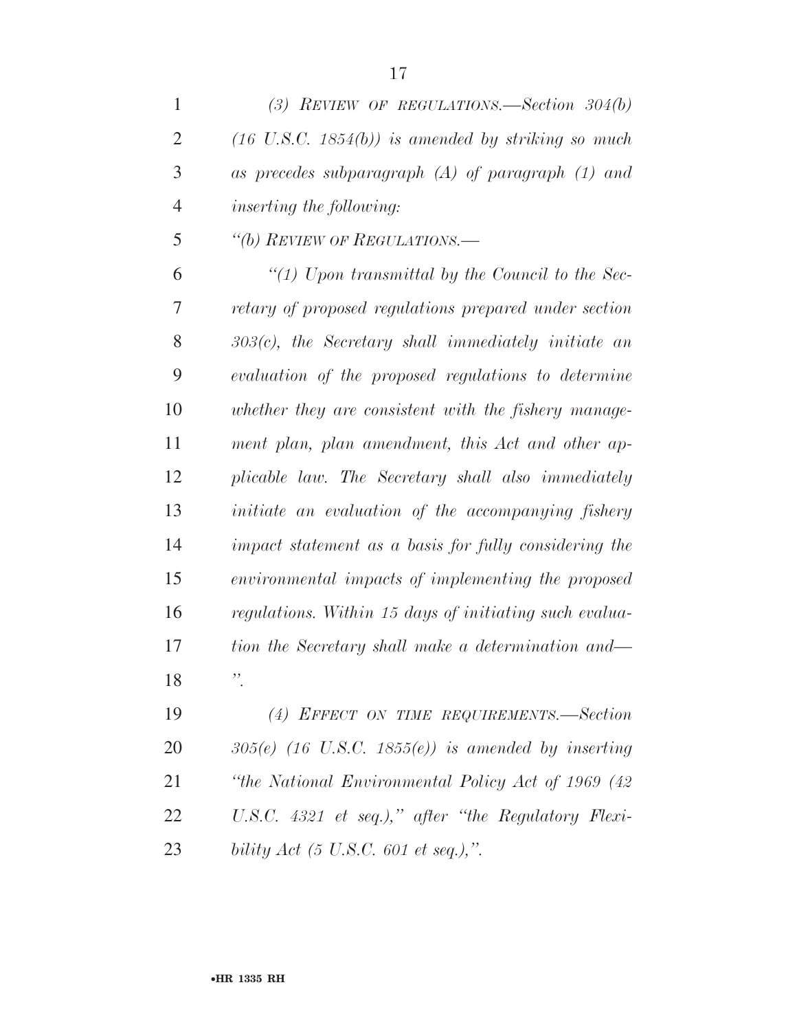*(3) REVIEW OF REGULATIONS.—Section 304(b)* 

| $\overline{2}$ | $(16 \text{ U.S.C. } 1854(b))$ is amended by striking so much |
|----------------|---------------------------------------------------------------|
| 3              | as precedes subparagraph $(A)$ of paragraph $(1)$ and         |
| $\overline{4}$ | <i>inserting the following:</i>                               |
| 5              | "(b) REVIEW OF REGULATIONS.-                                  |
| 6              | "(1) Upon transmittal by the Council to the Sec-              |
| 7              | retary of proposed regulations prepared under section         |
| 8              | $303(c)$ , the Secretary shall immediately initiate an        |
| 9              | evaluation of the proposed regulations to determine           |
| 10             | whether they are consistent with the fishery manage-          |
| 11             | ment plan, plan amendment, this Act and other ap-             |
| 12             | plicable law. The Secretary shall also immediately            |
| 13             | initiate an evaluation of the accompanying fishery            |
| 14             | impact statement as a basis for fully considering the         |
| 15             | environmental impacts of implementing the proposed            |
| 16             | regulations. Within 15 days of initiating such evalua-        |
| 17             | tion the Secretary shall make a determination and—            |
| 18             | $\ddot{\phantom{1}}$                                          |
| 19             | (4) EFFECT ON TIME REQUIREMENTS.-Section                      |
| 20             | $305(e)$ (16 U.S.C. 1855(e)) is amended by inserting          |
| 21             | "the National Environmental Policy Act of 1969 (42            |
| 22             | U.S.C. 4321 et seq.)," after "the Regulatory Flexi-           |

*bility Act (5 U.S.C. 601 et seq.),''.*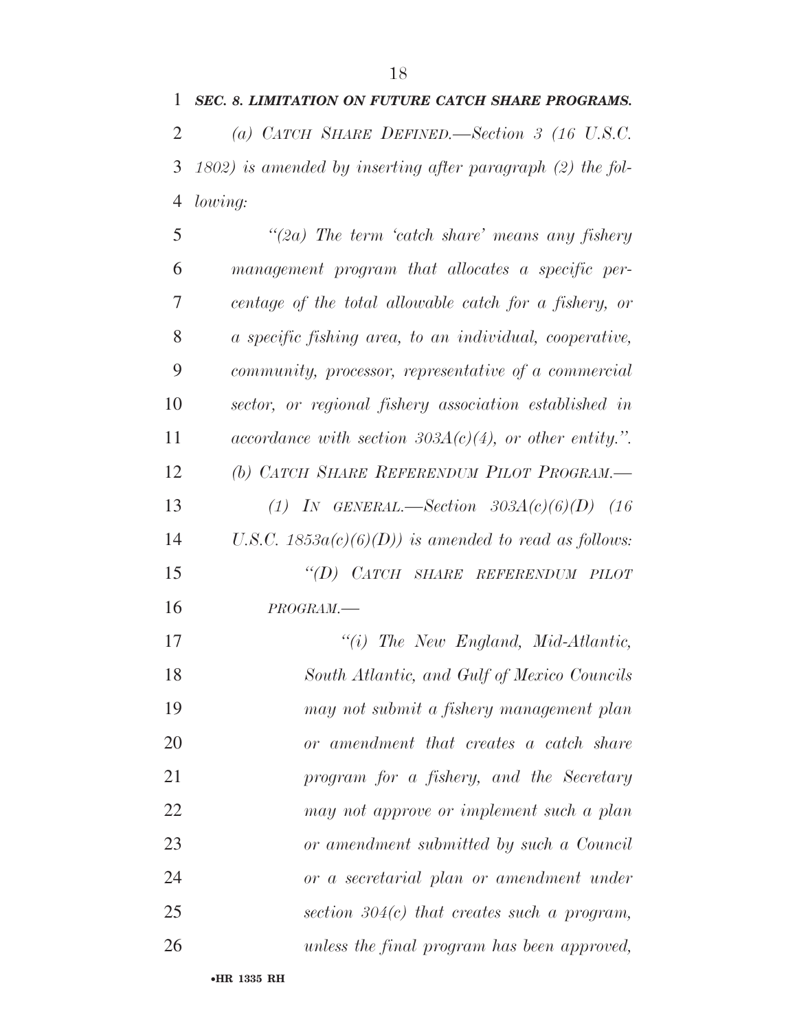*(a) CATCH SHARE DEFINED.—Section 3 (16 U.S.C. 1802) is amended by inserting after paragraph (2) the fol- lowing: ''(2a) The term 'catch share' means any fishery management program that allocates a specific per- centage of the total allowable catch for a fishery, or a specific fishing area, to an individual, cooperative, community, processor, representative of a commercial sector, or regional fishery association established in accordance with section 303A(c)(4), or other entity.''. (b) CATCH SHARE REFERENDUM PILOT PROGRAM.— (1) IN GENERAL.—Section 303A(c)(6)(D) (16 U.S.C. 1853a(c)(6)(D)) is amended to read as follows: ''(D) CATCH SHARE REFERENDUM PILOT PROGRAM.— ''(i) The New England, Mid-Atlantic, South Atlantic, and Gulf of Mexico Councils may not submit a fishery management plan* 

 *or amendment that creates a catch share program for a fishery, and the Secretary may not approve or implement such a plan or amendment submitted by such a Council or a secretarial plan or amendment under section 304(c) that creates such a program, unless the final program has been approved,*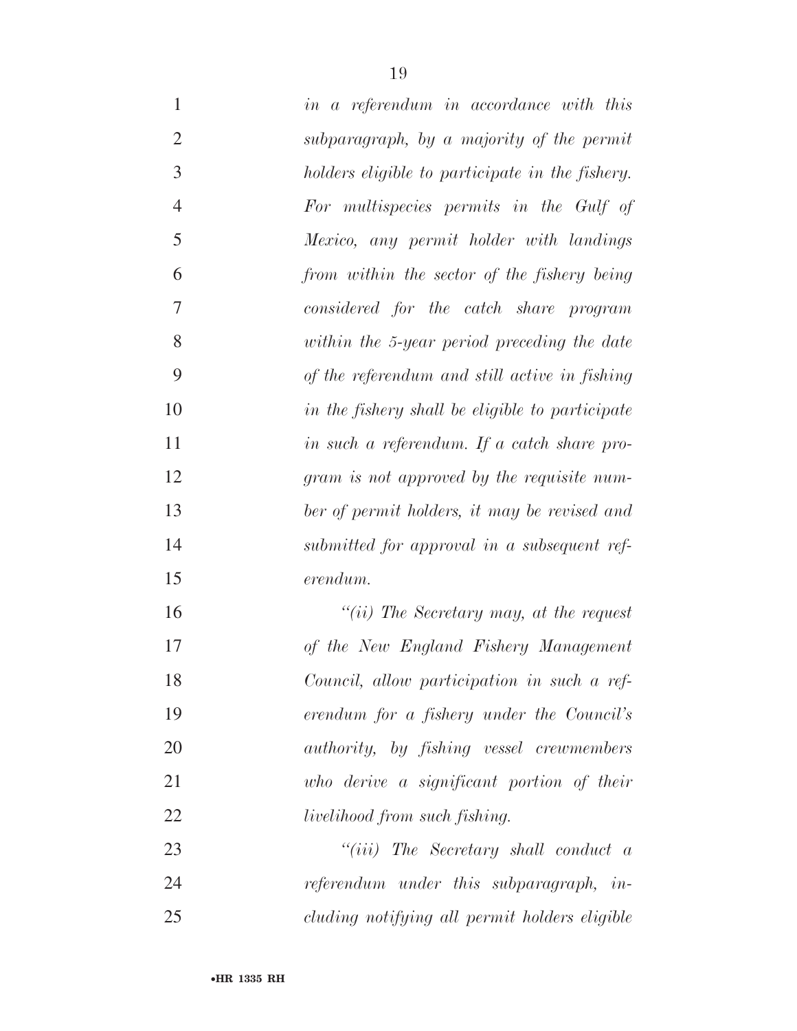| $\mathbf{1}$   | in a referendum in accordance with this                 |
|----------------|---------------------------------------------------------|
| $\overline{2}$ | subparagraph, by a majority of the permit               |
| 3              | holders eligible to participate in the fishery.         |
| $\overline{4}$ | For multispecies permits in the Gulf of                 |
| 5              | Mexico, any permit holder with landings                 |
| 6              | from within the sector of the fishery being             |
| 7              | considered for the catch share program                  |
| 8              | within the 5-year period preceding the date             |
| 9              | of the referendum and still active in fishing           |
| 10             | in the fishery shall be eligible to participate         |
| 11             | in such a referendum. If a catch share pro-             |
| 12             | gram is not approved by the requisite num-              |
| 13             | ber of permit holders, it may be revised and            |
| 14             | submitted for approval in a subsequent ref-             |
| 15             | erendum.                                                |
| 16             | "(ii) The Secretary may, at the request                 |
| 17             | of the New England Fishery Management                   |
| 18             | Council, allow participation in such a ref-             |
| 19             | erendum for a fishery under the Council's               |
| 20             | <i>authority</i> , by <i>fishing</i> vessel crewmembers |
| 21             | who derive a significant portion of their               |
| 22             | <i>livelihood from such fishing.</i>                    |
| 23             | $``(iii)$ The Secretary shall conduct a                 |
| 24             | referendum under this subparagraph, in-                 |
| 25             | cluding notifying all permit holders eligible           |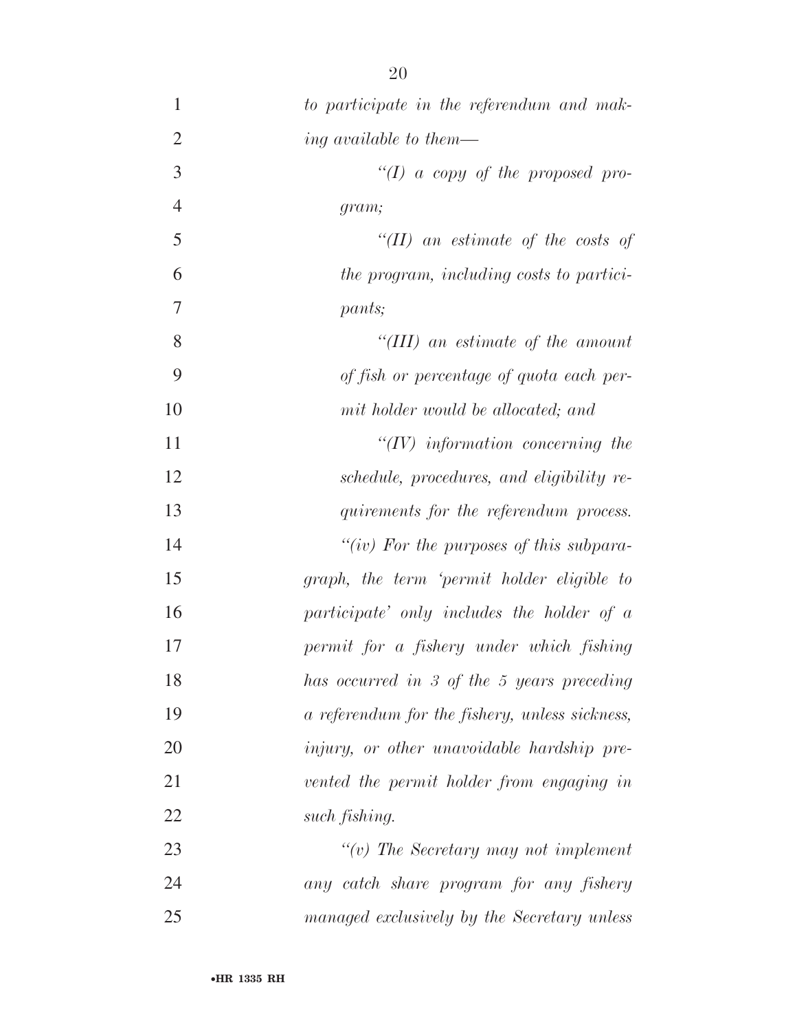| $\mathbf{1}$   | to participate in the referendum and mak-         |
|----------------|---------------------------------------------------|
| $\overline{2}$ | ing available to them—                            |
| 3              | "(I) a copy of the proposed pro-                  |
| $\overline{4}$ | gram;                                             |
| 5              | "(II) an estimate of the costs of                 |
| 6              | the program, including costs to partici-          |
| 7              | pants;                                            |
| 8              | $``(III)$ an estimate of the amount               |
| 9              | of fish or percentage of quota each per-          |
| 10             | mit holder would be allocated; and                |
| 11             | $\lq (IV)$ information concerning the             |
| 12             | schedule, procedures, and eligibility re-         |
| 13             | quirements for the referendum process.            |
| 14             | "(iv) For the purposes of this subpara-           |
| 15             | graph, the term 'permit holder eligible to        |
| 16             | participate' only includes the holder of $\alpha$ |
| 17             | permit for a fishery under which fishing          |
| 18             | has occurred in 3 of the 5 years preceding        |
| 19             | a referendum for the fishery, unless sickness,    |
| 20             | <i>injury, or other unavoidable hardship pre-</i> |
| 21             | vented the permit holder from engaging in         |
| 22             | such fishing.                                     |
| 23             | $\lq\lq(v)$ The Secretary may not implement       |
| 24             | any catch share program for any fishery           |
| 25             | managed exclusively by the Secretary unless       |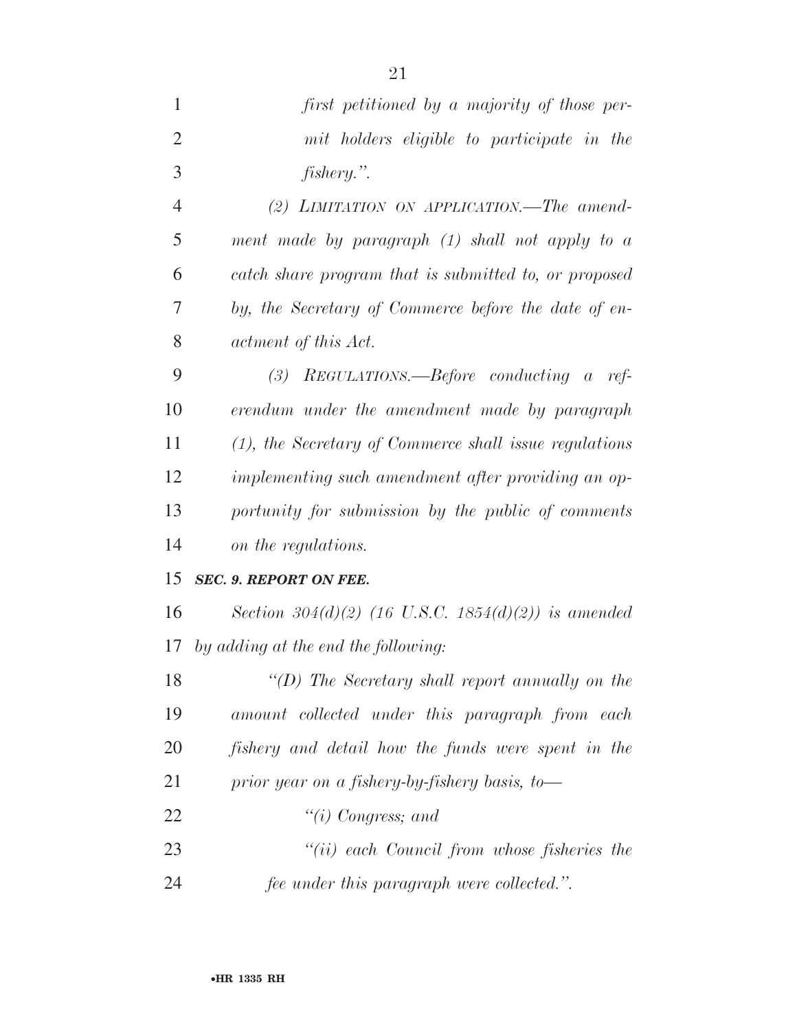| $\mathbf{1}$   | first petitioned by a majority of those per-           |
|----------------|--------------------------------------------------------|
| $\overline{2}$ | mit holders eligible to participate in the             |
| 3              | fishery.".                                             |
| $\overline{4}$ | (2) LIMITATION ON APPLICATION.—The amend-              |
| 5              | ment made by paragraph $(1)$ shall not apply to a      |
| 6              | catch share program that is submitted to, or proposed  |
| 7              | by, the Secretary of Commerce before the date of en-   |
| 8              | actment of this Act.                                   |
| 9              | (3) REGULATIONS.—Before conducting a ref-              |
| 10             | erendum under the amendment made by paragraph          |
| 11             | (1), the Secretary of Commerce shall issue regulations |
| 12             | implementing such amendment after providing an op-     |
| 13             | portunity for submission by the public of comments     |
| 14             | on the regulations.                                    |
| 15             | <b>SEC. 9. REPORT ON FEE.</b>                          |
| 16             | Section 304(d)(2) (16 U.S.C. 1854(d)(2)) is amended    |
| 17             | by adding at the end the following:                    |
| 18             | "(D) The Secretary shall report annually on the        |
| 19             | amount collected under this paragraph from each        |
| 20             | fishery and detail how the funds were spent in the     |
| 21             | prior year on a fishery-by-fishery basis, to-          |
| 22             | "(i) Congress; and                                     |
| 23             | $``(ii)$ each Council from whose fisheries the         |
| 24             | fee under this paragraph were collected.".             |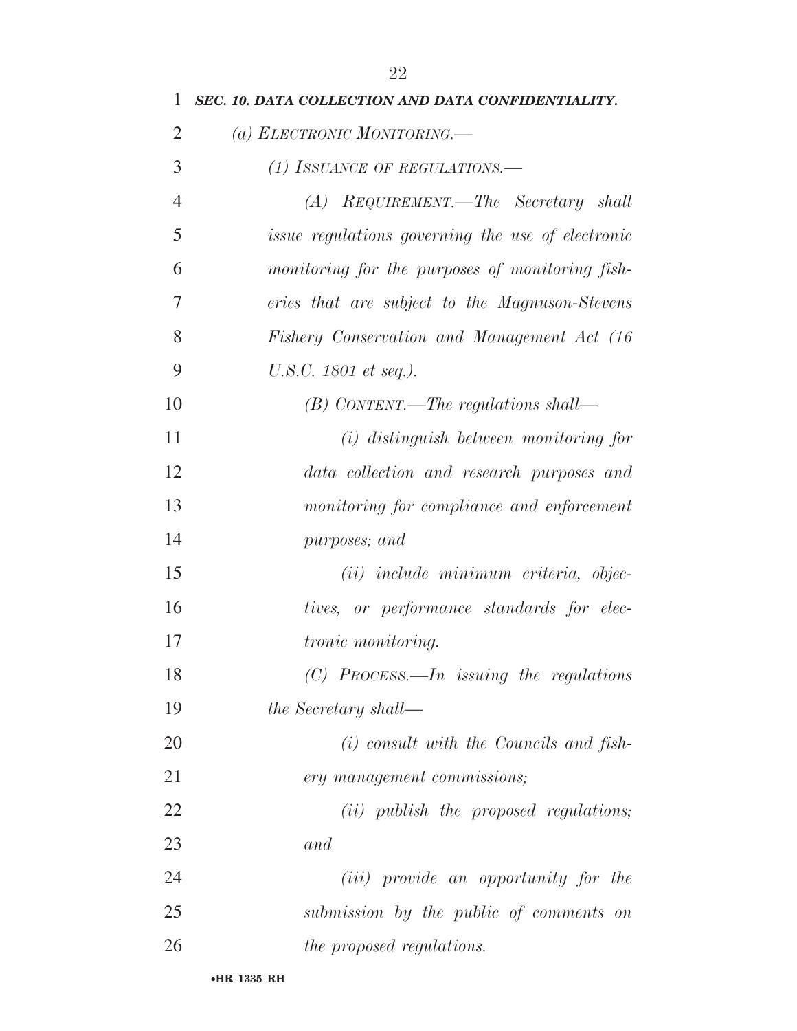| 1              | SEC. 10. DATA COLLECTION AND DATA CONFIDENTIALITY.       |
|----------------|----------------------------------------------------------|
| $\overline{2}$ | (a) ELECTRONIC MONITORING.                               |
| 3              | (1) ISSUANCE OF REGULATIONS.—                            |
| $\overline{4}$ | (A) REQUIREMENT.—The Secretary shall                     |
| 5              | <i>issue regulations governing the use of electronic</i> |
| 6              | monitoring for the purposes of monitoring fish-          |
| 7              | eries that are subject to the Magnuson-Stevens           |
| 8              | Fishery Conservation and Management Act (16)             |
| 9              | U.S.C. 1801 et seq.).                                    |
| 10             | $(B)$ CONTENT.—The regulations shall—                    |
| 11             | $(i)$ distinguish between monitoring for                 |
| 12             | data collection and research purposes and                |
| 13             | monitoring for compliance and enforcement                |
| 14             | purposes; and                                            |
| 15             | (ii) include minimum criteria, objec-                    |
| 16             | tives, or performance standards for elec-                |
| 17             | <i>tronic monitoring.</i>                                |
| 18             | $(C)$ PROCESS.—In issuing the regulations                |
| 19             | the Secretary shall—                                     |
| 20             | $(i)$ consult with the Councils and fish-                |
| 21             | ery management commissions;                              |
| 22             | (ii) publish the proposed regulations;                   |
| 23             | and                                                      |
| 24             | ( <i>iii</i> ) provide an opportunity for the            |
| 25             | submission by the public of comments on                  |
| 26             | the proposed regulations.                                |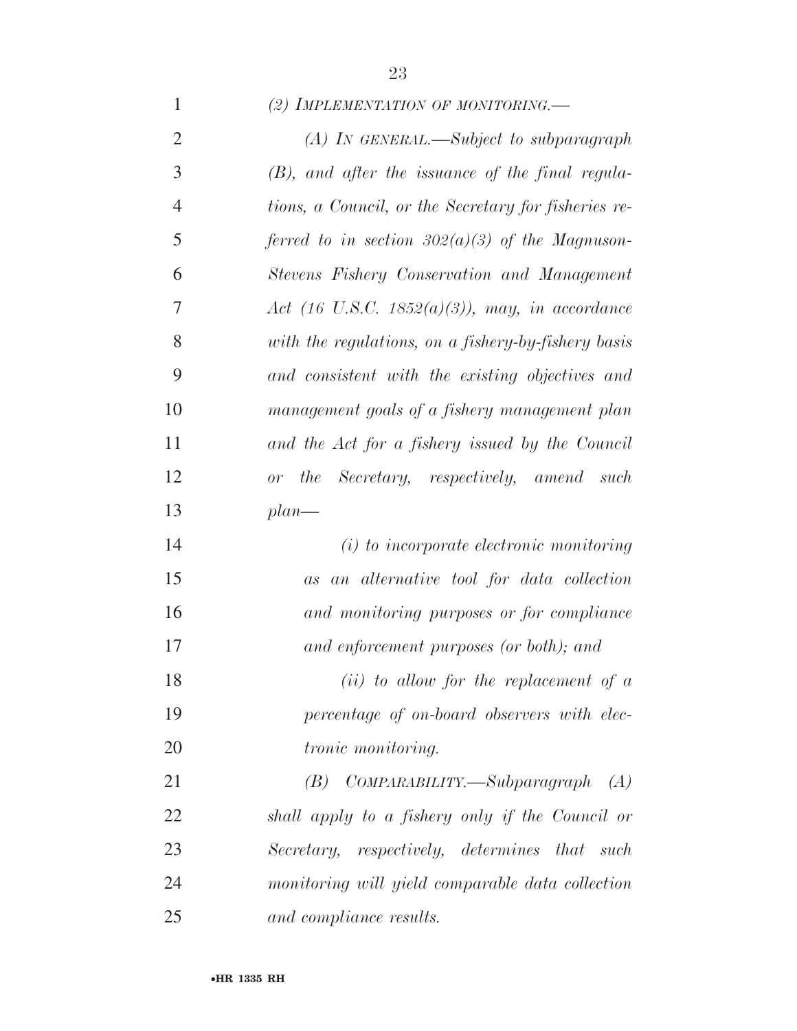### *(2) IMPLEMENTATION OF MONITORING.—*

| $\overline{2}$ | $(A)$ In GENERAL.—Subject to subparagraph            |
|----------------|------------------------------------------------------|
| 3              | $(B)$ , and after the issuance of the final regula-  |
| $\overline{4}$ | tions, a Council, or the Secretary for fisheries re- |
| 5              | ferred to in section $302(a)(3)$ of the Magnuson-    |
| 6              | Stevens Fishery Conservation and Management          |
| 7              | Act (16 U.S.C. 1852(a)(3)), may, in accordance       |
| 8              | with the regulations, on a fishery-by-fishery basis  |
| 9              | and consistent with the existing objectives and      |
| 10             | management goals of a fishery management plan        |
| 11             | and the Act for a fishery issued by the Council      |
| 12             | or the Secretary, respectively, amend such           |
| 13             | $plan$ —                                             |
| 14             | (i) to incorporate electronic monitoring             |
| 15             | as an alternative tool for data collection           |
| 16             | and monitoring purposes or for compliance            |
| 17             | and enforcement purposes (or both); and              |
| 18             | $(ii)$ to allow for the replacement of $a$           |
| 19             | percentage of on-board observers with elec-          |
| 20             | tronic monitoring.                                   |
| 21             | $(B)$ COMPARABILITY.—Subparagraph<br>(A)             |
| 22             | shall apply to a fishery only if the Council or      |
| 23             | Secretary, respectively, determines that such        |
| 24             | monitoring will yield comparable data collection     |
| 25             | and compliance results.                              |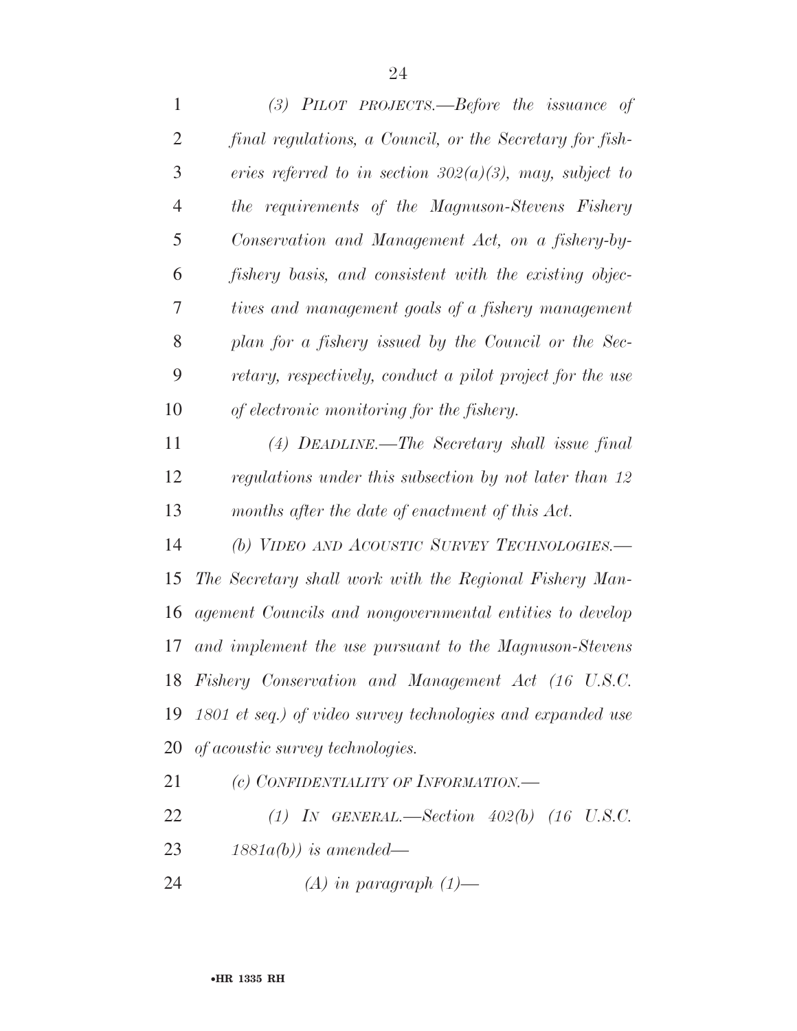| 1              | $(3)$ PILOT PROJECTS.—Before the issuance of                |
|----------------|-------------------------------------------------------------|
| $\overline{2}$ | final regulations, a Council, or the Secretary for fish-    |
| 3              | eries referred to in section $302(a)(3)$ , may, subject to  |
| $\overline{4}$ | the requirements of the Magnuson-Stevens Fishery            |
| 5              | Conservation and Management Act, on a fishery-by-           |
| 6              | fishery basis, and consistent with the existing objec-      |
| 7              | tives and management goals of a fishery management          |
| 8              | plan for a fishery issued by the Council or the Sec-        |
| 9              | retary, respectively, conduct a pilot project for the use   |
| 10             | of electronic monitoring for the fishery.                   |
| 11             | $(4)$ DEADLINE.—The Secretary shall issue final             |
| 12             | regulations under this subsection by not later than 12      |
| 13             | months after the date of enactment of this Act.             |
| 14             | (b) VIDEO AND ACOUSTIC SURVEY TECHNOLOGIES.-                |
| 15             | The Secretary shall work with the Regional Fishery Man-     |
| 16             | agement Councils and nongovernmental entities to develop    |
| 17             | and implement the use pursuant to the Magnuson-Stevens      |
|                | 18 Fishery Conservation and Management Act (16 U.S.C.       |
| 19             | 1801 et seq.) of video survey technologies and expanded use |
| 20             | <i>of acoustic survey technologies.</i>                     |
| 21             | (c) CONFIDENTIALITY OF INFORMATION.—                        |
| 22             | (1) IN GENERAL.—Section $402(b)$ (16 U.S.C.                 |

*1881a(b)) is amended—* 

*(A) in paragraph (1)—*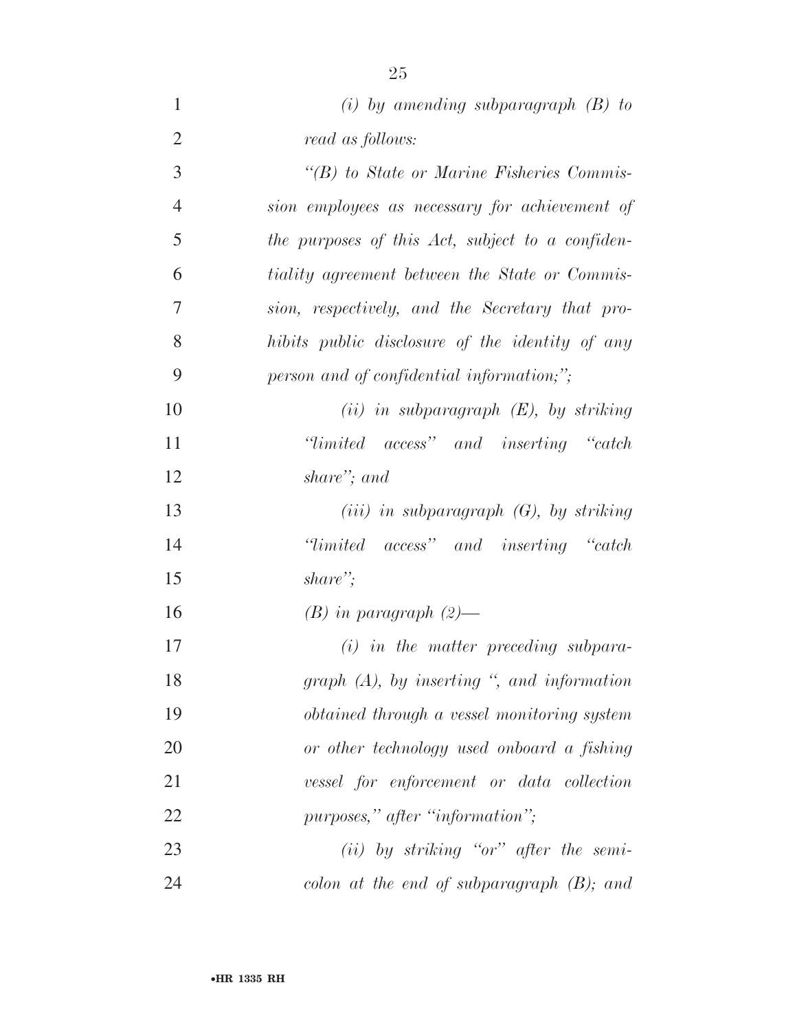| $\mathbf{1}$   | (i) by amending subparagraph $(B)$ to              |
|----------------|----------------------------------------------------|
| $\overline{2}$ | read as follows:                                   |
| 3              | $\lq\lq(B)$ to State or Marine Fisheries Commis-   |
| $\overline{4}$ | sion employees as necessary for achievement of     |
| 5              | the purposes of this Act, subject to a confiden-   |
| 6              | tiality agreement between the State or Commis-     |
| $\overline{7}$ | sion, respectively, and the Secretary that pro-    |
| 8              | hibits public disclosure of the identity of any    |
| 9              | person and of confidential information,";          |
| 10             | $(ii)$ in subparagraph $(E)$ , by striking         |
| 11             | "limited access" and inserting "catch"             |
| 12             | share"; and                                        |
| 13             | $(iii)$ in subparagraph $(G)$ , by striking        |
| 14             | "limited access" and inserting "catch"             |
| 15             | share";                                            |
| 16             | $(B)$ in paragraph $(2)$ —                         |
| 17             | $(i)$ in the matter preceding subpara-             |
| 18             | graph $(A)$ , by inserting ", and information      |
| 19             | <i>obtained through a vessel monitoring system</i> |
| 20             | or other technology used onboard a fishing         |
| 21             | vessel for enforcement or data collection          |
| 22             | purposes," after "information";                    |
| 23             | $(ii)$ by striking "or" after the semi-            |
| 24             | colon at the end of subparagraph $(B)$ ; and       |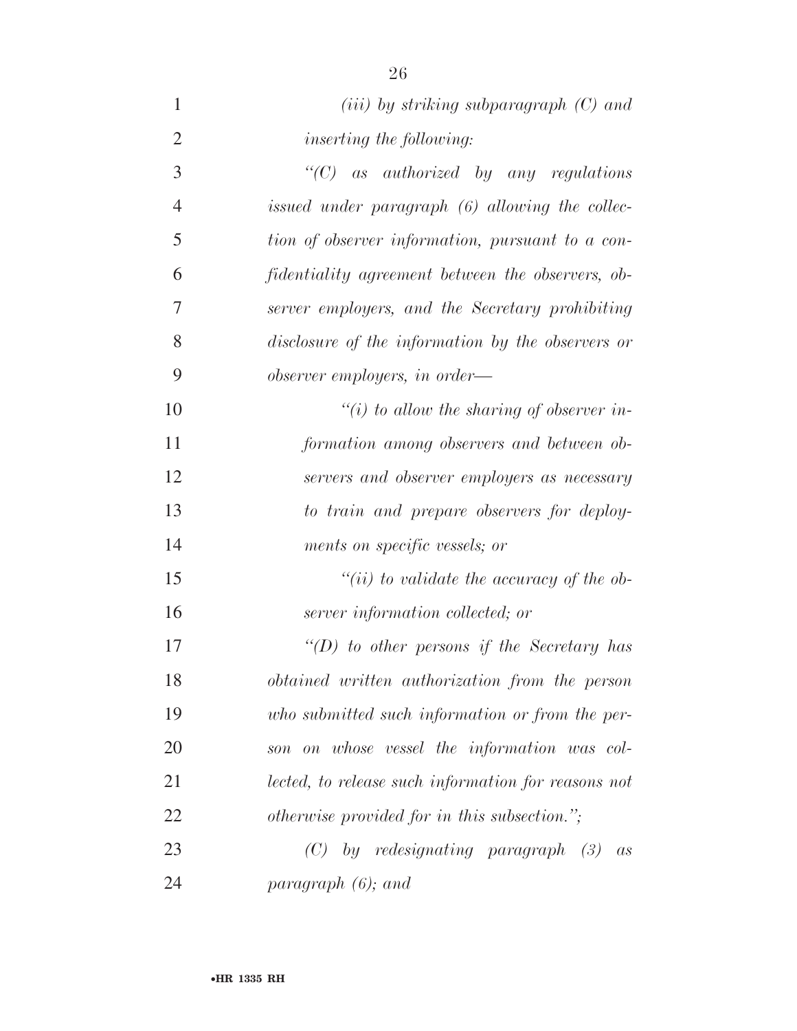| $\mathbf{1}$   | $(iii)$ by striking subparagraph $(C)$ and          |
|----------------|-----------------------------------------------------|
| $\overline{2}$ | <i>inserting the following:</i>                     |
| 3              | " $(C)$ as authorized by any regulations"           |
| $\overline{4}$ | issued under paragraph (6) allowing the collec-     |
| 5              | tion of observer information, pursuant to a con-    |
| 6              | fidentiality agreement between the observers, ob-   |
| $\overline{7}$ | server employers, and the Secretary prohibiting     |
| 8              | disclosure of the information by the observers or   |
| 9              | observer employers, in order—                       |
| 10             | "(i) to allow the sharing of observer in-           |
| 11             | formation among observers and between ob-           |
| 12             | servers and observer employers as necessary         |
| 13             | to train and prepare observers for deploy-          |
| 14             | ments on specific vessels; or                       |
| 15             | "(ii) to validate the accuracy of the ob-           |
| 16             | server information collected; or                    |
| 17             | "(D) to other persons if the Secretary has          |
| 18             | obtained written authorization from the person      |
| 19             | who submitted such information or from the per-     |
| 20             | son on whose vessel the information was col-        |
| 21             | lected, to release such information for reasons not |
| 22             | otherwise provided for in this subsection.";        |
| 23             | by redesignating paragraph $(3)$<br>(C)<br>as       |
| 24             | paragraph $(6)$ ; and                               |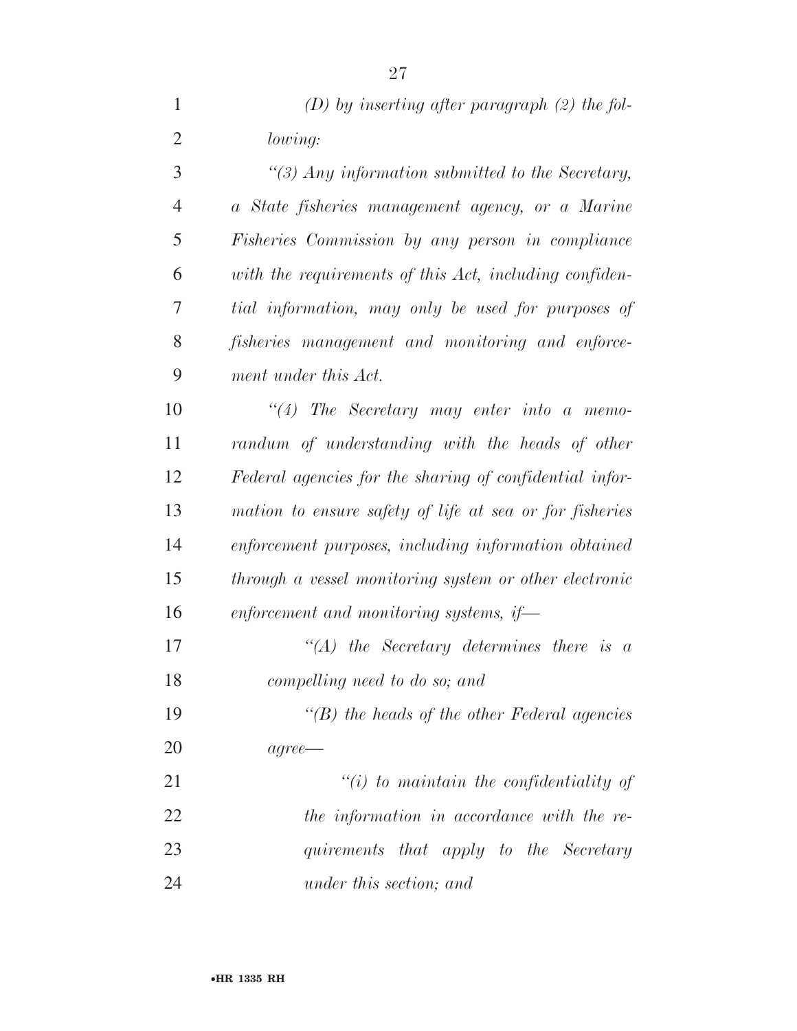| $\mathbf{1}$   | $(D)$ by inserting after paragraph $(2)$ the fol-       |
|----------------|---------------------------------------------------------|
| $\overline{2}$ | lowing:                                                 |
| 3              | $\lq(3)$ Any information submitted to the Secretary,    |
| $\overline{4}$ | a State fisheries management agency, or a Marine        |
| 5              | Fisheries Commission by any person in compliance        |
| 6              | with the requirements of this Act, including confiden-  |
| 7              | tial information, may only be used for purposes of      |
| 8              | fisheries management and monitoring and enforce-        |
| 9              | ment under this Act.                                    |
| 10             | $``(4)$ The Secretary may enter into a memo-            |
| 11             | randum of understanding with the heads of other         |
| 12             | Federal agencies for the sharing of confidential infor- |
| 13             | mation to ensure safety of life at sea or for fisheries |
| 14             | enforcement purposes, including information obtained    |
| 15             | through a vessel monitoring system or other electronic  |
| 16             | enforcement and monitoring systems, if-                 |
| 17             | $\lq\lq (A)$ the Secretary determines there is a        |
| 18             | compelling need to do so; and                           |
| 19             | $\lq\lq(B)$ the heads of the other Federal agencies     |
| 20             | $agree \rightarrow$                                     |
| 21             | $"(i)$ to maintain the confidentiality of               |
| 22             | the information in accordance with the re-              |
| 23             | quirements that apply to the Secretary                  |
| 24             | under this section; and                                 |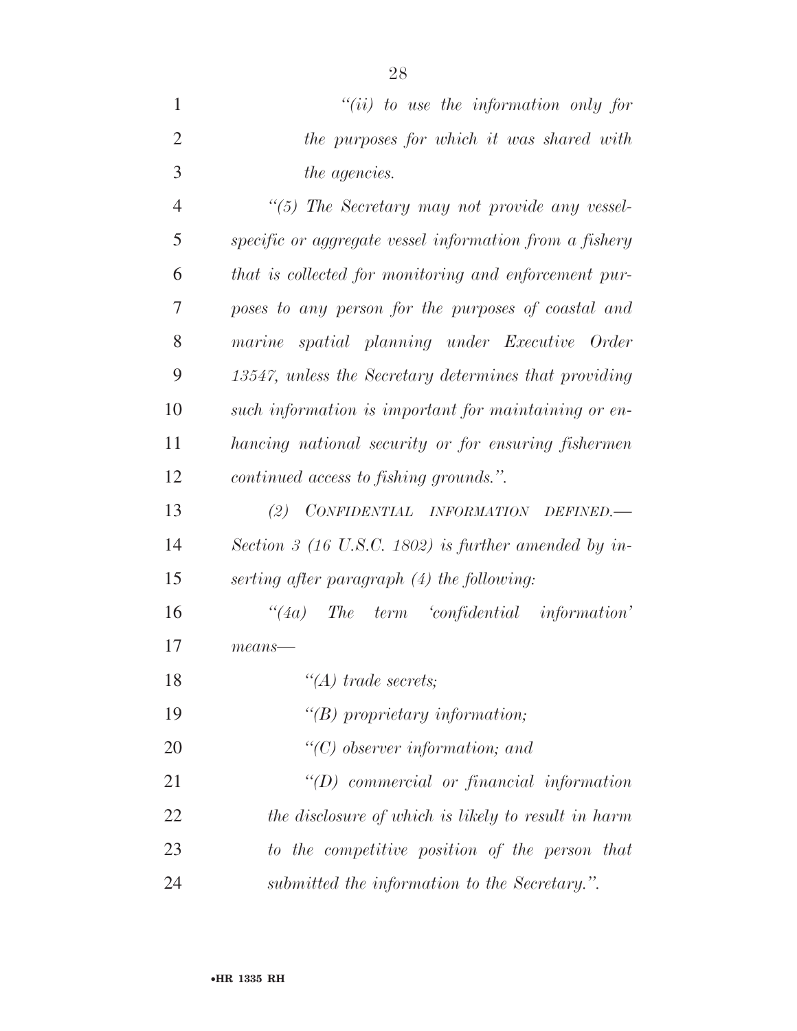| $``(ii)$ to use the information only for  |
|-------------------------------------------|
| the purposes for which it was shared with |
| <i>the agencies.</i>                      |

 *''(5) The Secretary may not provide any vessel- specific or aggregate vessel information from a fishery that is collected for monitoring and enforcement pur- poses to any person for the purposes of coastal and marine spatial planning under Executive Order 13547, unless the Secretary determines that providing such information is important for maintaining or en- hancing national security or for ensuring fishermen continued access to fishing grounds.''.* 

 *(2) CONFIDENTIAL INFORMATION DEFINED.— Section 3 (16 U.S.C. 1802) is further amended by in-serting after paragraph (4) the following:* 

 *''(4a) The term 'confidential information' means—* 

*''(A) trade secrets;* 

- *''(B) proprietary information;*
- *''(C) observer information; and*
- *''(D) commercial or financial information the disclosure of which is likely to result in harm to the competitive position of the person that submitted the information to the Secretary.''.*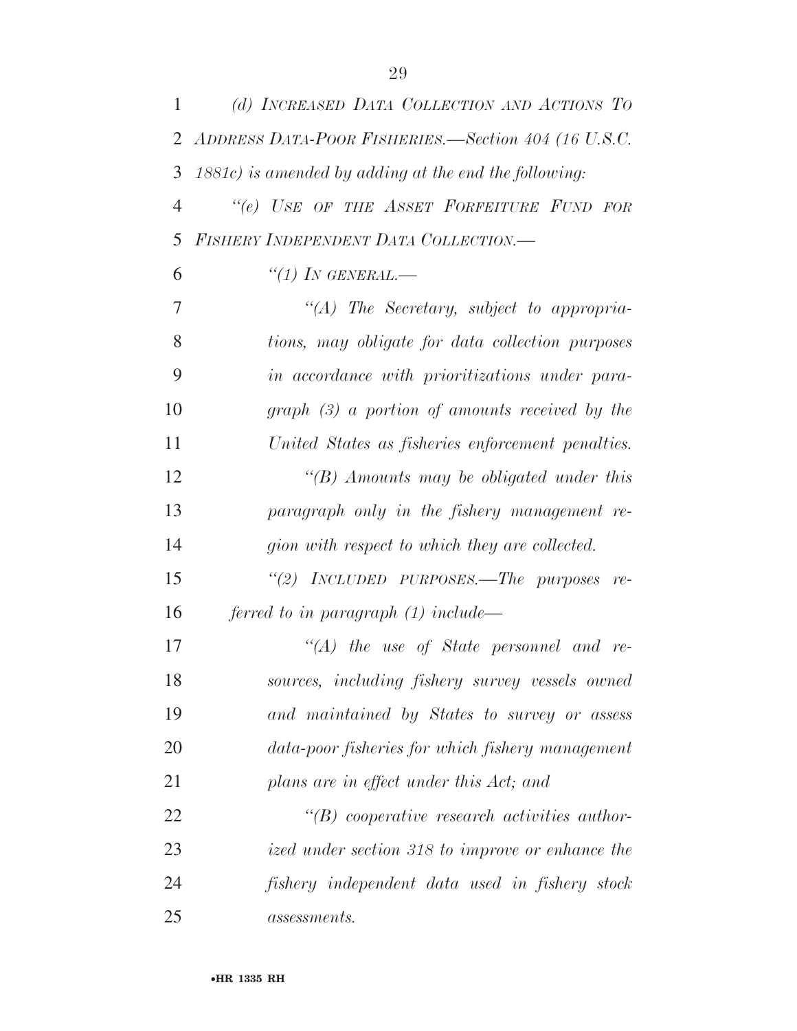| 1              | (d) INCREASED DATA COLLECTION AND ACTIONS TO             |
|----------------|----------------------------------------------------------|
| 2              | ADDRESS DATA-POOR FISHERIES.—Section 404 (16 U.S.C.      |
| 3              | $1881c$ ) is amended by adding at the end the following: |
| $\overline{4}$ | "(e) USE OF THE ASSET FORFEITURE FUND FOR                |
| 5              | <b>FISHERY INDEPENDENT DATA COLLECTION.—</b>             |
| 6              | $``(1)$ In GENERAL.—                                     |
| 7              | "(A) The Secretary, subject to appropria-                |
| 8              | tions, may obligate for data collection purposes         |
| 9              | in accordance with prioritizations under para-           |
| 10             | $graph$ (3) a portion of amounts received by the         |
| 11             | United States as fisheries enforcement penalties.        |
| 12             | $\lq\lq(B)$ Amounts may be obligated under this          |
| 13             | paragraph only in the fishery management re-             |
| 14             | gion with respect to which they are collected.           |
| 15             | "(2) INCLUDED PURPOSES.—The purposes re-                 |
| 16             | ferred to in paragraph $(1)$ include—                    |
| 17             | $\lq\lq (A)$ the use of State personnel and re-          |
| 18             | sources, including fishery survey vessels owned          |
| 19             | and maintained by States to survey or assess             |
| 20             | data-poor fisheries for which fishery management         |
| 21             | plans are in effect under this Act; and                  |
| 22             | $\lq\lq B$ cooperative research activities author-       |
| 23             | ized under section 318 to improve or enhance the         |
| 24             | fishery independent data used in fishery stock           |
| 25             | <i>assessments.</i>                                      |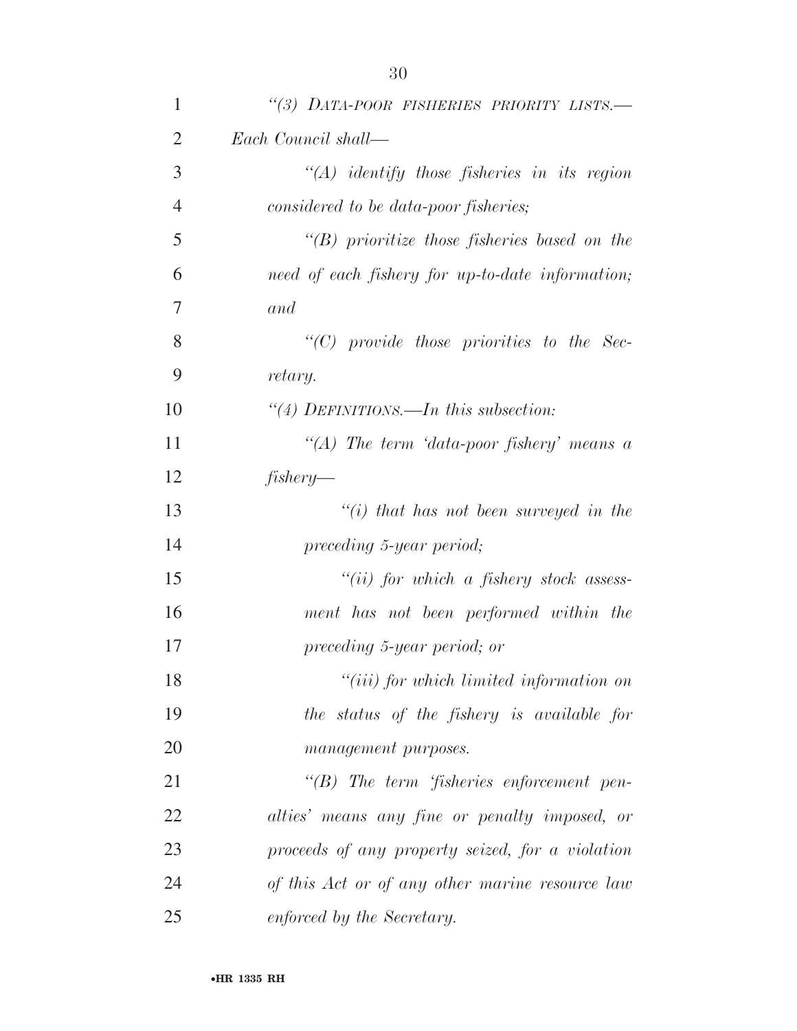| $\mathbf{1}$   | "(3) DATA-POOR FISHERIES PRIORITY LISTS.-          |
|----------------|----------------------------------------------------|
| $\overline{2}$ | Each Council shall—                                |
| 3              | $\lq (A)$ identify those fisheries in its region   |
| $\overline{4}$ | considered to be data-poor fisheries;              |
| 5              | $\lq\lq B$ prioritize those fisheries based on the |
| 6              | need of each fishery for up-to-date information;   |
| 7              | and                                                |
| 8              | $"$ (C) provide those priorities to the Sec-       |
| 9              | retary.                                            |
| 10             | "(4) DEFINITIONS.—In this subsection:              |
| 11             | "(A) The term 'data-poor fishery' means $\alpha$   |
| 12             | fishery                                            |
| 13             | $\lq\lq(i)$ that has not been surveyed in the      |
| 14             | preceding 5-year period;                           |
| 15             | $``(ii)$ for which a fishery stock assess-         |
| 16             | ment has not been performed within the             |
| 17             | preceding 5-year period; or                        |
| 18             | $``(iii)$ for which limited information on         |
| 19             | the status of the fishery is available for         |
| 20             | management purposes.                               |
| 21             | $\lq\lq B$ ) The term 'fisheries enforcement pen-  |
| 22             | alties' means any fine or penalty imposed, or      |
| 23             | proceeds of any property seized, for a violation   |
| 24             | of this Act or of any other marine resource law    |
| 25             | enforced by the Secretary.                         |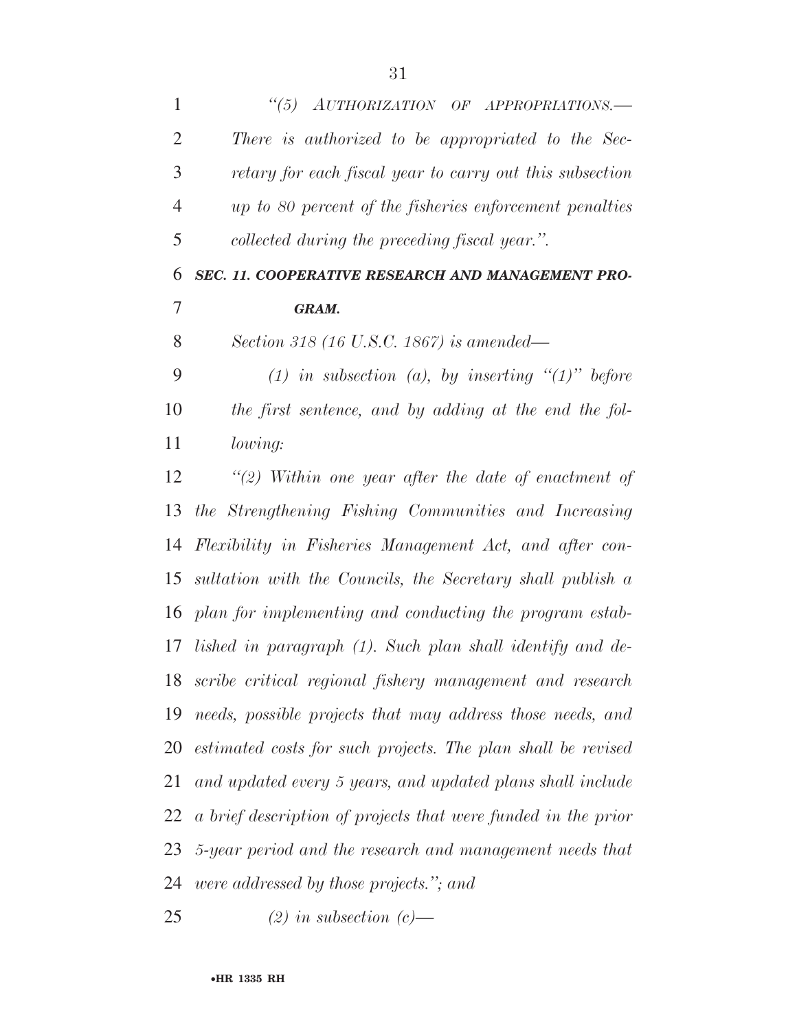| $\mathbf{1}$   | "(5) AUTHORIZATION OF APPROPRIATIONS.-                        |
|----------------|---------------------------------------------------------------|
| $\overline{2}$ | There is authorized to be appropriated to the Sec-            |
| 3              | retary for each fiscal year to carry out this subsection      |
| $\overline{4}$ | up to 80 percent of the fisheries enforcement penalties       |
| 5              | collected during the preceding fiscal year.".                 |
| 6              | SEC. 11. COOPERATIVE RESEARCH AND MANAGEMENT PRO-             |
| 7              | GRAM.                                                         |
| 8              | Section 318 (16 U.S.C. 1867) is amended—                      |
| 9              | (1) in subsection (a), by inserting $\lq(1)$ " before         |
| 10             | the first sentence, and by adding at the end the fol-         |
| 11             | lowing:                                                       |
| 12             | $\lq(2)$ Within one year after the date of enactment of       |
| 13             | the Strengthening Fishing Communities and Increasing          |
| 14             | Flexibility in Fisheries Management Act, and after con-       |
| 15             | sultation with the Councils, the Secretary shall publish a    |
| 16             | plan for implementing and conducting the program estab-       |
| 17             | lished in paragraph (1). Such plan shall identify and de-     |
| 18             | scribe critical regional fishery management and research      |
| 19             | needs, possible projects that may address those needs, and    |
| 20             | estimated costs for such projects. The plan shall be revised  |
| 21             | and updated every 5 years, and updated plans shall include    |
| 22             | a brief description of projects that were funded in the prior |
| 23             | 5-year period and the research and management needs that      |
| 24             | <i>were addressed by those projects.</i> "; and               |
| 25             | $(2)$ in subsection $(c)$ —                                   |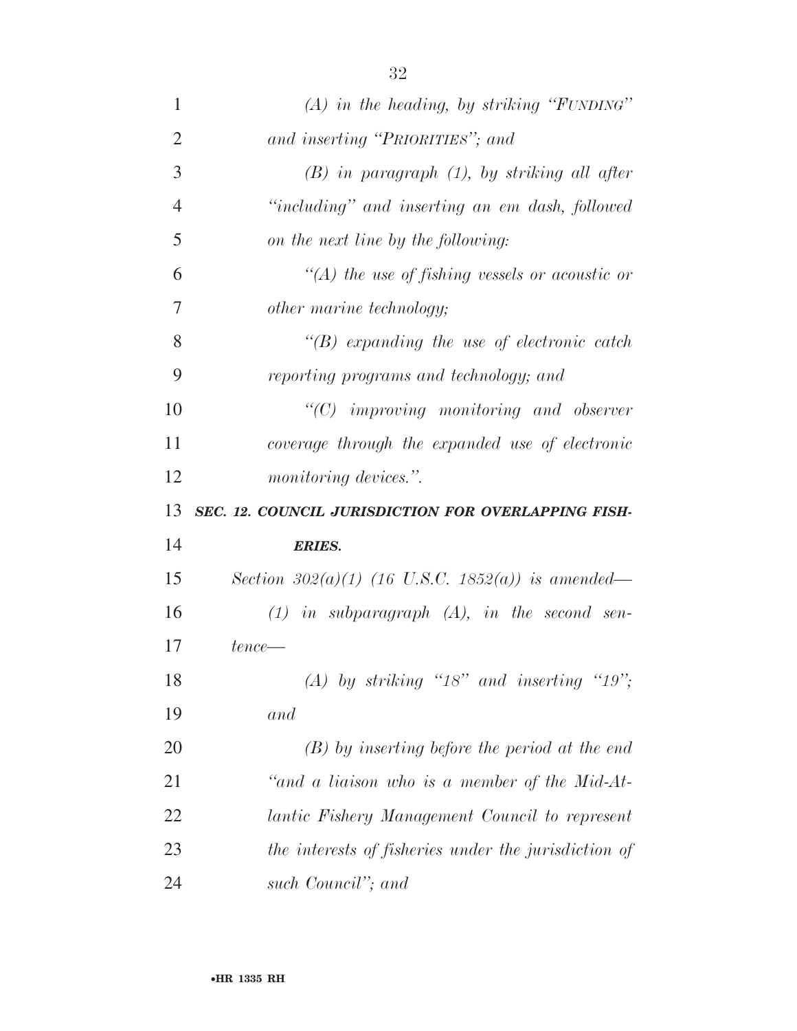| 1              | $(A)$ in the heading, by striking "FUNDING"          |
|----------------|------------------------------------------------------|
| $\overline{2}$ | and inserting "PRIORITIES"; and                      |
| 3              | $(B)$ in paragraph $(1)$ , by striking all after     |
| $\overline{4}$ | "including" and inserting an em dash, followed       |
| 5              | on the next line by the following:                   |
| 6              | $\lq (A)$ the use of fishing vessels or acoustic or  |
| 7              | other marine technology;                             |
| 8              | $\lq\lq(B)$ expanding the use of electronic catch    |
| 9              | reporting programs and technology; and               |
| 10             | $\lq\lq C$ improving monitoring and observer         |
| 11             | coverage through the expanded use of electronic      |
| 12             | <i>monitoring devices.</i> ".                        |
| 13             | SEC. 12. COUNCIL JURISDICTION FOR OVERLAPPING FISH-  |
| 14             | <b>ERIES.</b>                                        |
| 15             | Section 302(a)(1) (16 U.S.C. 1852(a)) is amended—    |
| 16             | $(1)$ in subparagraph $(A)$ , in the second sen-     |
| 17             | $tence$ —                                            |
| 18             | (A) by striking " $18$ " and inserting " $19$ ";     |
| 19             | and                                                  |
|                |                                                      |
| 20             | $(B)$ by inserting before the period at the end      |
| 21             | "and a liaison who is a member of the Mid-At-        |
| 22             | lantic Fishery Management Council to represent       |
| 23             | the interests of fisheries under the jurisdiction of |

*such Council''; and*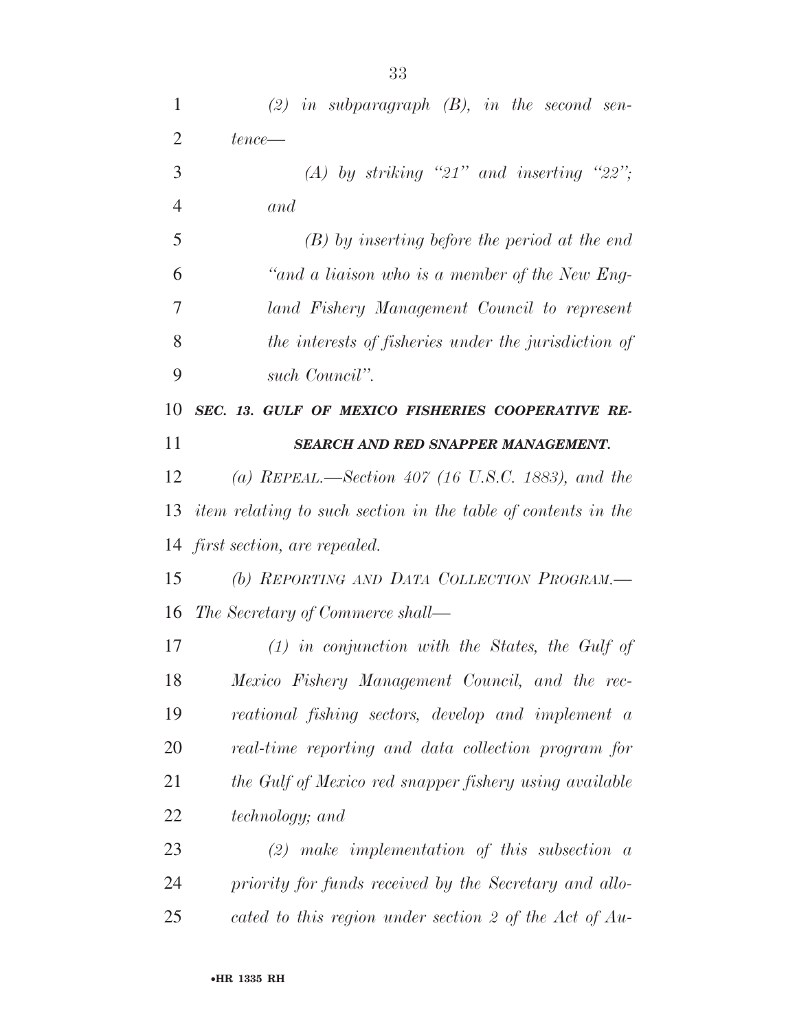| 1              | $(2)$ in subparagraph $(B)$ , in the second sen-              |
|----------------|---------------------------------------------------------------|
| $\overline{2}$ | $tence$ —                                                     |
| 3              | (A) by striking "21" and inserting "22";                      |
| 4              | and                                                           |
| 5              | $(B)$ by inserting before the period at the end               |
| 6              | "and a liaison who is a member of the New Eng-                |
| 7              | land Fishery Management Council to represent                  |
| 8              | the interests of fisheries under the jurisdiction of          |
| 9              | such Council".                                                |
| 10             | SEC. 13. GULF OF MEXICO FISHERIES COOPERATIVE RE-             |
| 11             | <b>SEARCH AND RED SNAPPER MANAGEMENT.</b>                     |
| 12             | (a) REPEAL.—Section 407 (16 U.S.C. 1883), and the             |
| 13             | item relating to such section in the table of contents in the |
|                | 14 first section, are repealed.                               |
| 15             | (b) REPORTING AND DATA COLLECTION PROGRAM.-                   |
| 16             | The Secretary of Commerce shall—                              |
| 17             | $(1)$ in conjunction with the States, the Gulf of             |
| 18             | Mexico Fishery Management Council, and the rec-               |
| 19             | reational fishing sectors, develop and implement a            |
| 20             | real-time reporting and data collection program for           |
| 21             | the Gulf of Mexico red snapper fishery using available        |
| 22             | <i>technology</i> ; and                                       |
| 23             | $(2)$ make implementation of this subsection a                |
| 24             | priority for funds received by the Secretary and allo-        |
| 25             | cated to this region under section 2 of the Act of Au-        |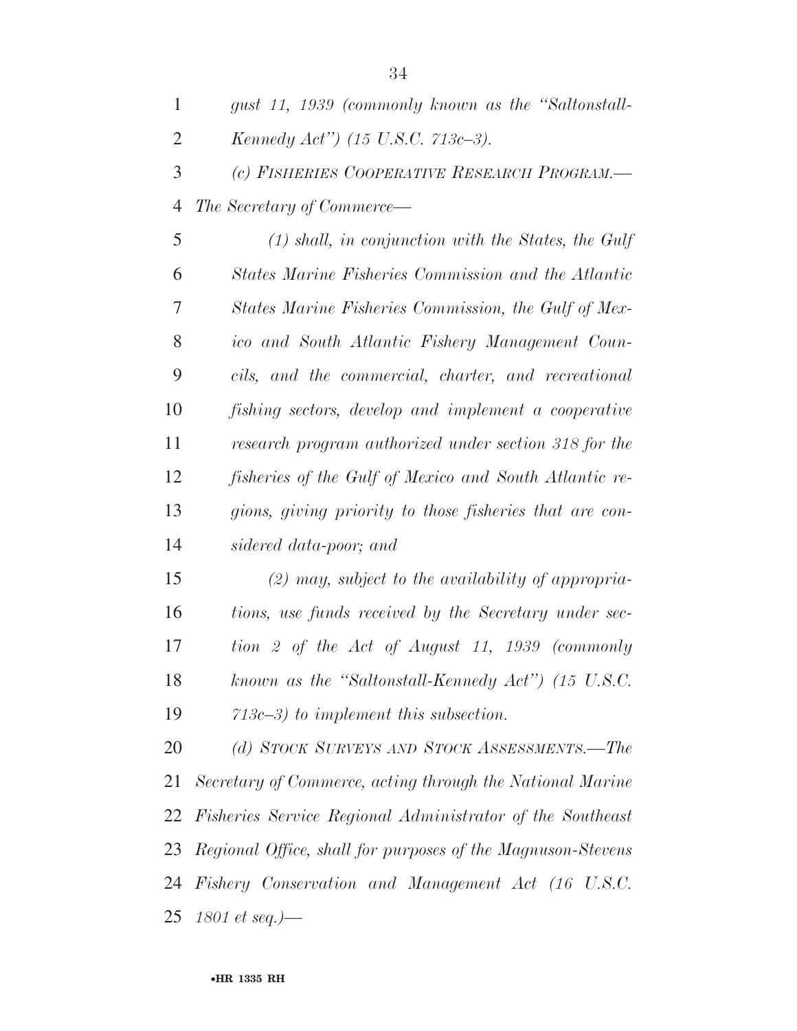| 1              | gust 11, 1939 (commonly known as the "Saltonstall-      |
|----------------|---------------------------------------------------------|
| $\overline{2}$ | Kennedy Act") (15 U.S.C. 713c-3).                       |
| 3              | (c) FISHERIES COOPERATIVE RESEARCH PROGRAM.-            |
| $\overline{4}$ | <i>The Secretary of Commerce—</i>                       |
| 5              | $(1)$ shall, in conjunction with the States, the Gulf   |
| 6              | States Marine Fisheries Commission and the Atlantic     |
| 7              | States Marine Fisheries Commission, the Gulf of Mex-    |
| 8              | ico and South Atlantic Fishery Management Coun-         |
| 9              | cils, and the commercial, charter, and recreational     |
| 10             | fishing sectors, develop and implement a cooperative    |
| 11             | research program authorized under section 318 for the   |
| 12             | fisheries of the Gulf of Mexico and South Atlantic re-  |
| 13             | gions, giving priority to those fisheries that are con- |
| 14             | sidered data-poor; and                                  |
|                |                                                         |

 *(2) may, subject to the availability of appropria- tions, use funds received by the Secretary under sec- tion 2 of the Act of August 11, 1939 (commonly known as the ''Saltonstall-Kennedy Act'') (15 U.S.C. 713c–3) to implement this subsection.* 

 *(d) STOCK SURVEYS AND STOCK ASSESSMENTS.—The Secretary of Commerce, acting through the National Marine Fisheries Service Regional Administrator of the Southeast Regional Office, shall for purposes of the Magnuson-Stevens Fishery Conservation and Management Act (16 U.S.C. 1801 et seq.)—*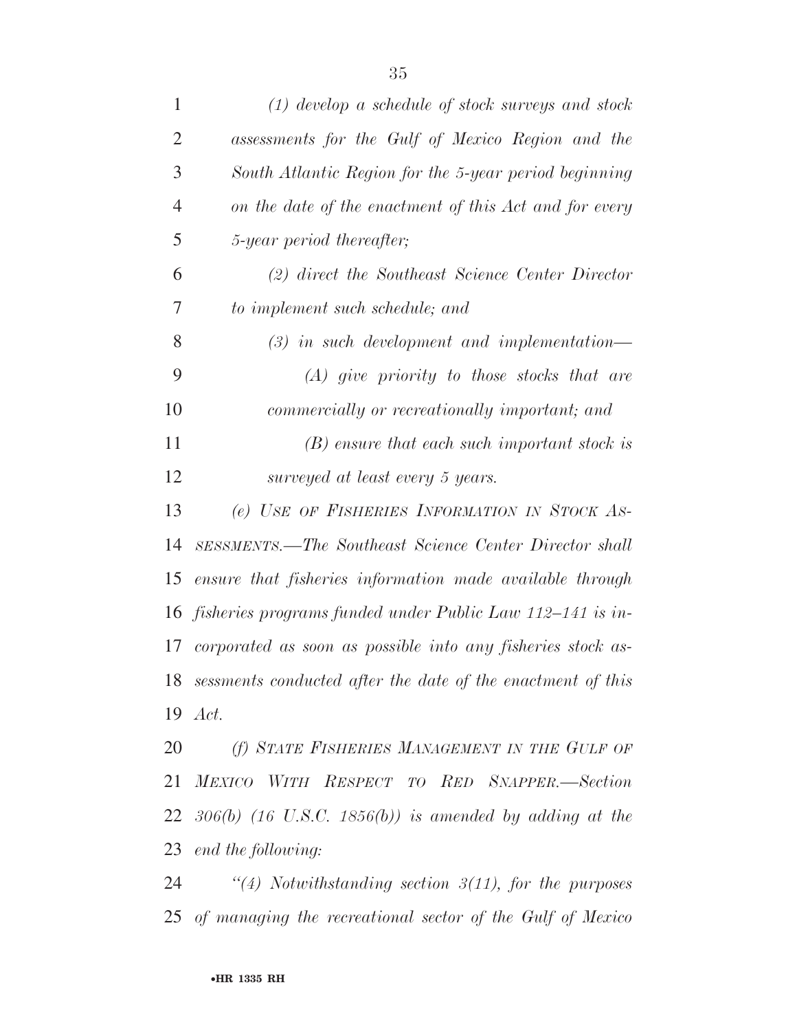| $\mathbf{1}$   | $(1)$ develop a schedule of stock surveys and stock            |
|----------------|----------------------------------------------------------------|
| 2              | assessments for the Gulf of Mexico Region and the              |
| 3              | South Atlantic Region for the 5-year period beginning          |
| $\overline{4}$ | on the date of the enactment of this Act and for every         |
| 5              | 5-year period thereafter;                                      |
| 6              | (2) direct the Southeast Science Center Director               |
| 7              | to implement such schedule; and                                |
| 8              | $(3)$ in such development and implementation—                  |
| 9              | $(A)$ give priority to those stocks that are                   |
| 10             | commercially or recreationally important; and                  |
| 11             | $(B)$ ensure that each such important stock is                 |
| 12             | surveyed at least every 5 years.                               |
| 13             | (e) USE OF FISHERIES INFORMATION IN STOCK AS-                  |
| 14             | SESSMENTS.—The Southeast Science Center Director shall         |
| 15             | ensure that fisheries information made available through       |
| 16             | fisheries programs funded under Public Law 112–141 is in-      |
| 17             | corporated as soon as possible into any fisheries stock as-    |
|                | 18 sessments conducted after the date of the enactment of this |
|                | 19 <i>Act.</i>                                                 |
| 20             | (f) STATE FISHERIES MANAGEMENT IN THE GULF OF                  |
|                | 21 MEXICO WITH RESPECT TO RED SNAPPER.-Section                 |
|                | 22 $306(b)$ (16 U.S.C. 1856(b)) is amended by adding at the    |
|                | 23 end the following:                                          |
| 24             | "(4) Notwithstanding section $3(11)$ , for the purposes        |
|                | 25 of managing the recreational sector of the Gulf of Mexico   |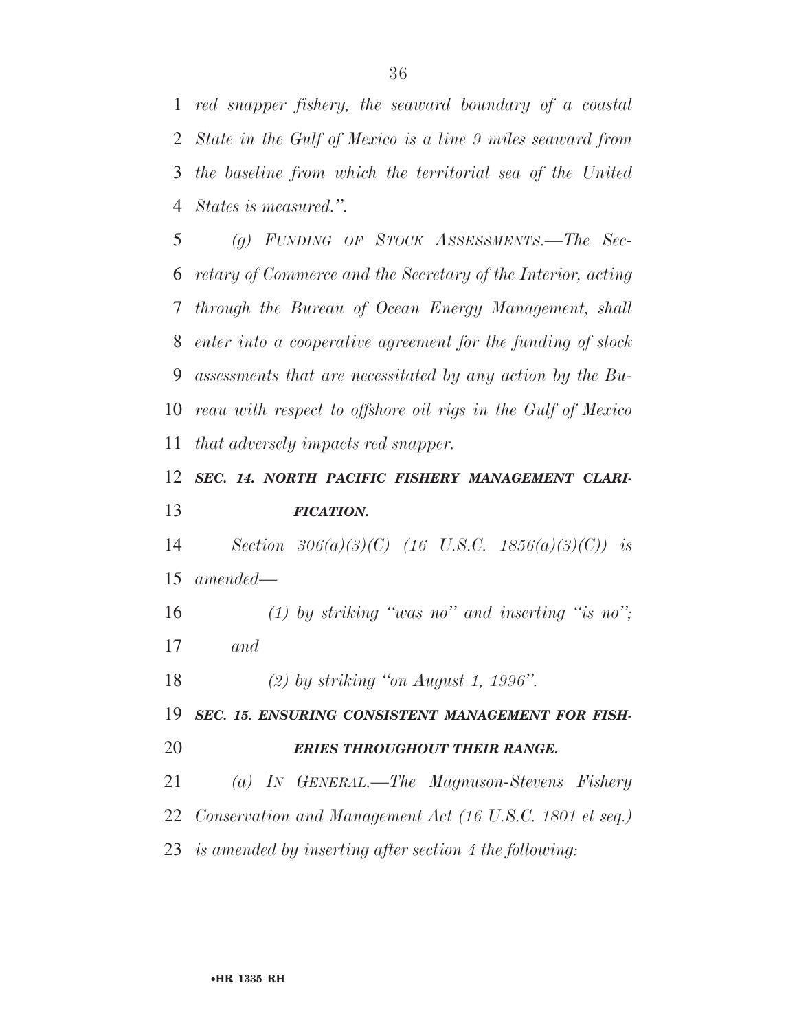*red snapper fishery, the seaward boundary of a coastal State in the Gulf of Mexico is a line 9 miles seaward from the baseline from which the territorial sea of the United States is measured.''.* 

 *(g) FUNDING OF STOCK ASSESSMENTS.—The Sec- retary of Commerce and the Secretary of the Interior, acting through the Bureau of Ocean Energy Management, shall enter into a cooperative agreement for the funding of stock assessments that are necessitated by any action by the Bu- reau with respect to offshore oil rigs in the Gulf of Mexico that adversely impacts red snapper.* 

### *SEC. 14. NORTH PACIFIC FISHERY MANAGEMENT CLARI-FICATION.*

 *Section 306(a)(3)(C) (16 U.S.C. 1856(a)(3)(C)) is amended—* 

 *(1) by striking ''was no'' and inserting ''is no''; and* 

*(2) by striking ''on August 1, 1996''.* 

 *SEC. 15. ENSURING CONSISTENT MANAGEMENT FOR FISH-ERIES THROUGHOUT THEIR RANGE.* 

*(a) IN GENERAL.—The Magnuson-Stevens Fishery* 

*Conservation and Management Act (16 U.S.C. 1801 et seq.)* 

*is amended by inserting after section 4 the following:*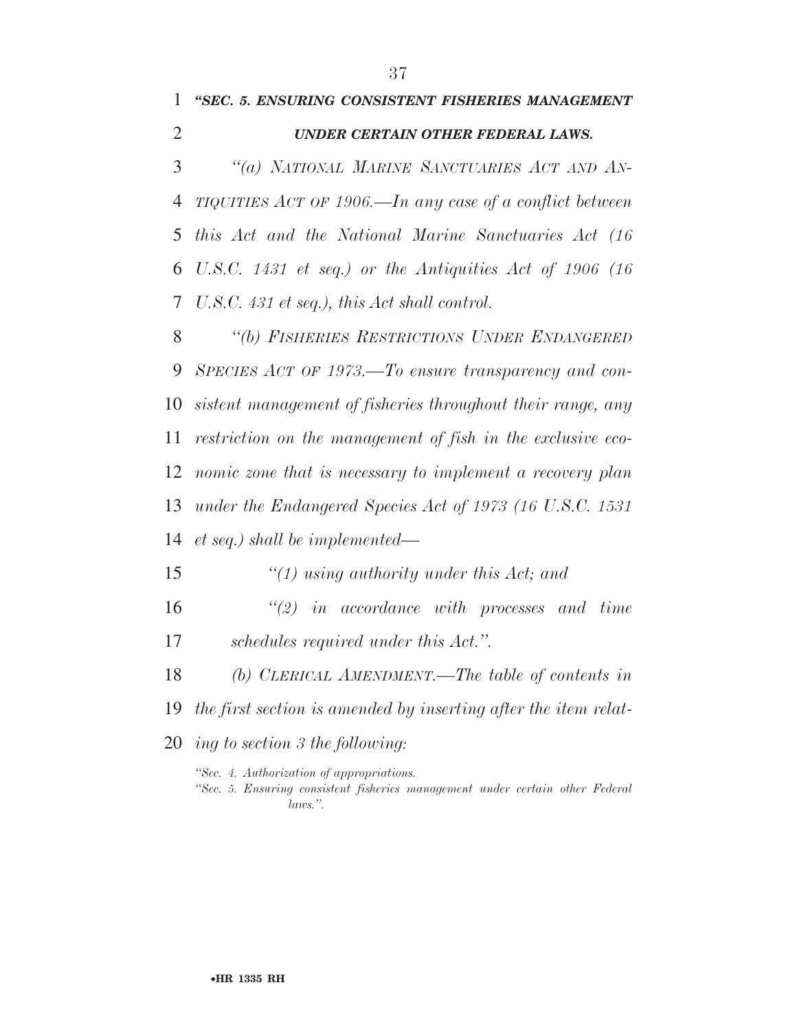## *''SEC. 5. ENSURING CONSISTENT FISHERIES MANAGEMENT*

#### *UNDER CERTAIN OTHER FEDERAL LAWS.*

 *''(a) NATIONAL MARINE SANCTUARIES ACT AND AN- TIQUITIES ACT OF 1906.—In any case of a conflict between this Act and the National Marine Sanctuaries Act (16 U.S.C. 1431 et seq.) or the Antiquities Act of 1906 (16 U.S.C. 431 et seq.), this Act shall control.* 

 *''(b) FISHERIES RESTRICTIONS UNDER ENDANGERED SPECIES ACT OF 1973.—To ensure transparency and con- sistent management of fisheries throughout their range, any restriction on the management of fish in the exclusive eco- nomic zone that is necessary to implement a recovery plan under the Endangered Species Act of 1973 (16 U.S.C. 1531 et seq.) shall be implemented—* 

*''(1) using authority under this Act; and* 

- *''(2) in accordance with processes and time schedules required under this Act.''.*
- *(b) CLERICAL AMENDMENT.—The table of contents in*
- *the first section is amended by inserting after the item relat-*
- *ing to section 3 the following:*

*''Sec. 4. Authorization of appropriations.* 

*''Sec. 5. Ensuring consistent fisheries management under certain other Federal laws.''.*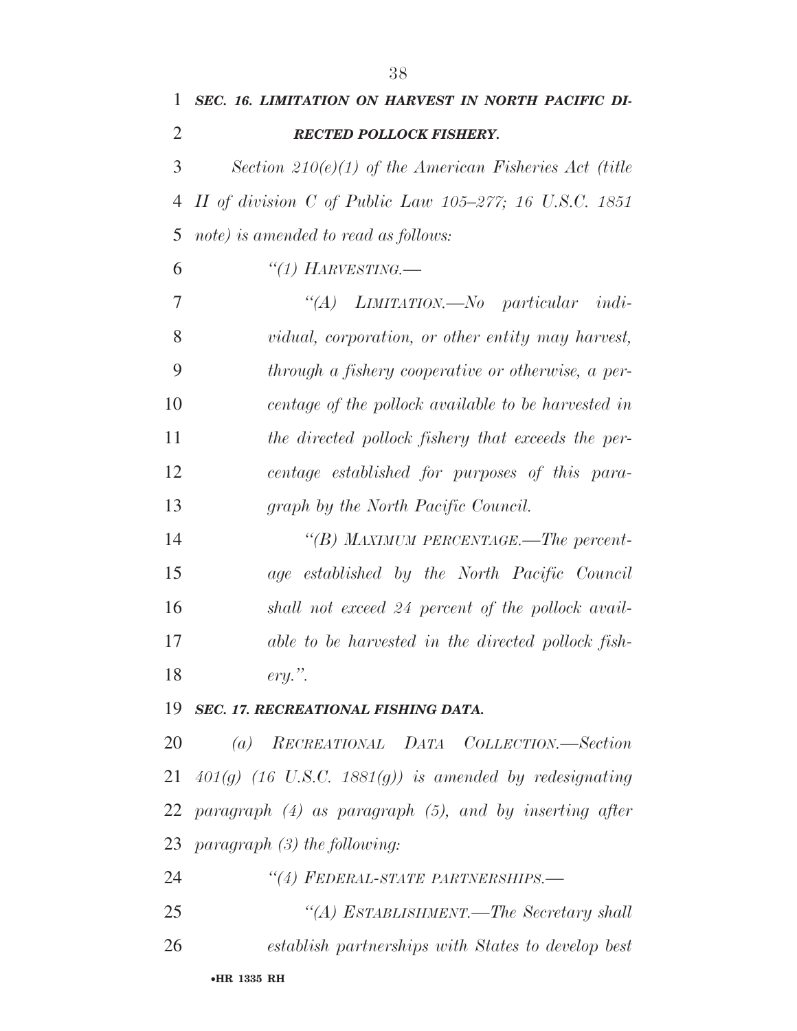| $\mathbf{1}$   | SEC. 16. LIMITATION ON HARVEST IN NORTH PACIFIC DI-      |
|----------------|----------------------------------------------------------|
| $\overline{2}$ | <b>RECTED POLLOCK FISHERY.</b>                           |
| 3 <sup>1</sup> | Section 210(e)(1) of the American Fisheries Act (title   |
|                | 4 II of division C of Public Law 105–277; 16 U.S.C. 1851 |
|                | 5 note) is amended to read as follows:                   |
| 6              | "(1) HARVESTING.—                                        |
| 7              | "(A) LIMITATION.—No particular indi-                     |
|                |                                                          |

 *vidual, corporation, or other entity may harvest, through a fishery cooperative or otherwise, a per- centage of the pollock available to be harvested in the directed pollock fishery that exceeds the per- centage established for purposes of this para-graph by the North Pacific Council.* 

 *''(B) MAXIMUM PERCENTAGE.—The percent- age established by the North Pacific Council shall not exceed 24 percent of the pollock avail- able to be harvested in the directed pollock fish-ery.''.* 

#### *SEC. 17. RECREATIONAL FISHING DATA.*

 *(a) RECREATIONAL DATA COLLECTION.—Section 401(g) (16 U.S.C. 1881(g)) is amended by redesignating paragraph (4) as paragraph (5), and by inserting after paragraph (3) the following:* 

*''(4) FEDERAL-STATE PARTNERSHIPS.—* 

 *''(A) ESTABLISHMENT.—The Secretary shall establish partnerships with States to develop best*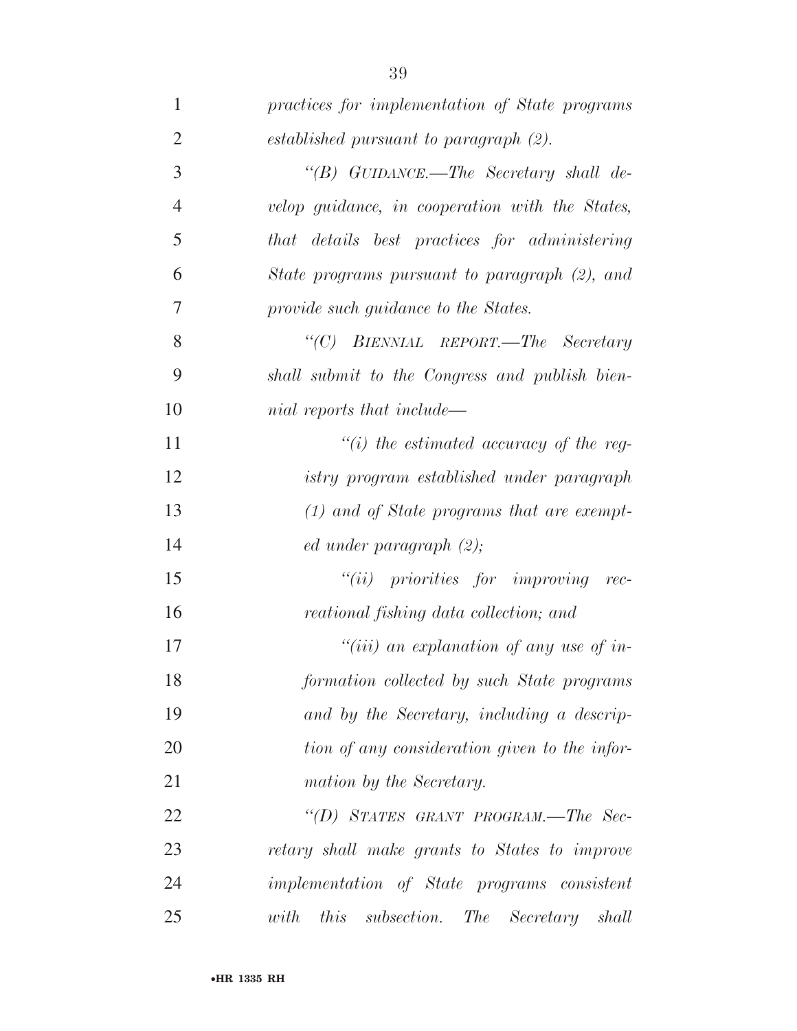| 1              | practices for implementation of State programs            |
|----------------|-----------------------------------------------------------|
| $\overline{2}$ | established pursuant to paragraph (2).                    |
| 3              | "(B) GUIDANCE.—The Secretary shall de-                    |
| $\overline{4}$ | velop guidance, in cooperation with the States,           |
| 5              | that details best practices for administering             |
| 6              | State programs pursuant to paragraph (2), and             |
| 7              | provide such guidance to the States.                      |
| 8              | "(C) BIENNIAL REPORT.—The Secretary                       |
| 9              | shall submit to the Congress and publish bien-            |
| 10             | nial reports that include—                                |
| 11             | $\lq\lq(i)$ the estimated accuracy of the reg-            |
| 12             | istry program established under paragraph                 |
| 13             | $(1)$ and of State programs that are exempt-              |
| 14             | $ed$ under paragraph $(2)$ ;                              |
| 15             | $``(ii)$ priorities for improving rec-                    |
| 16             | reational fishing data collection; and                    |
| 17             | "(iii) an explanation of any use of in-                   |
| 18             | formation collected by such State programs                |
| 19             | and by the Secretary, including a descrip-                |
| 20             | tion of any consideration given to the infor-             |
| 21             | mation by the Secretary.                                  |
| 22             | "(D) STATES GRANT PROGRAM.—The Sec-                       |
| 23             | retary shall make grants to States to improve             |
| 24             | <i>implementation</i> of <i>State</i> programs consistent |
| 25             | this<br>subsection. The Secretary shall<br>with           |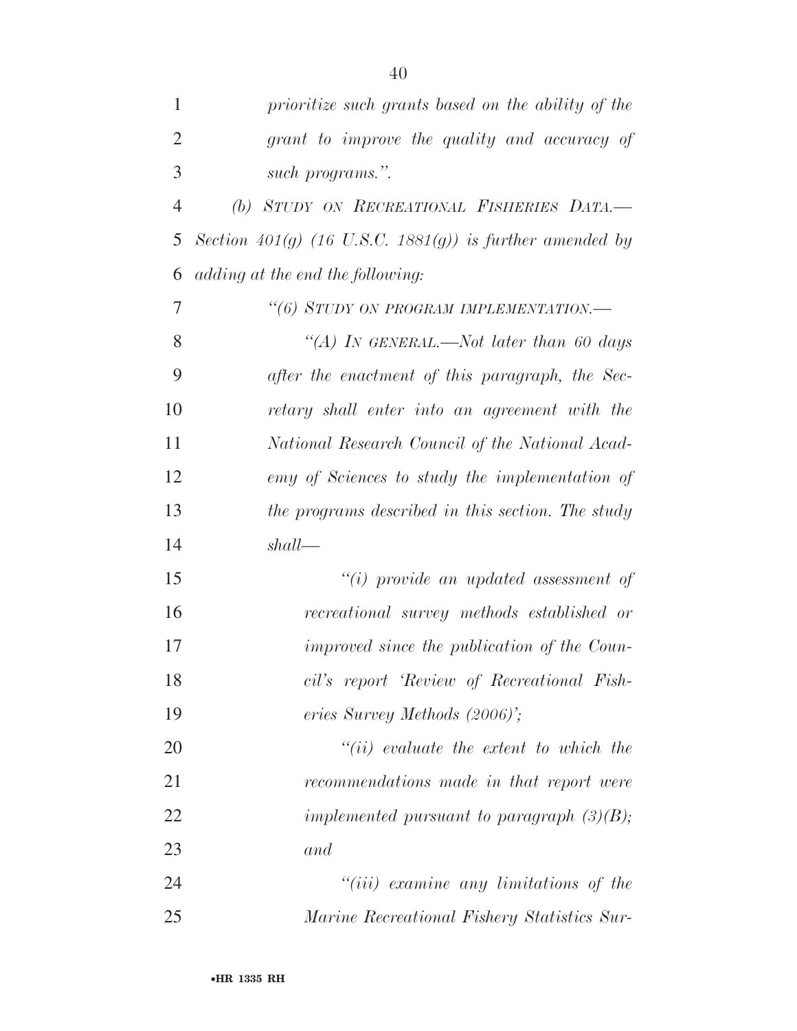| 1              | prioritize such grants based on the ability of the       |
|----------------|----------------------------------------------------------|
| $\overline{2}$ | grant to improve the quality and accuracy of             |
| 3              | such programs.".                                         |
| $\overline{4}$ | (b) STUDY ON RECREATIONAL FISHERIES DATA.-               |
| 5              | Section 401(g) (16 U.S.C. 1881(g)) is further amended by |
| 6              | adding at the end the following:                         |
| 7              | "(6) STUDY ON PROGRAM IMPLEMENTATION.-                   |
| 8              | "(A) IN GENERAL.—Not later than 60 days                  |
| 9              | after the enactment of this paragraph, the Sec-          |
| 10             | retary shall enter into an agreement with the            |
| 11             | National Research Council of the National Acad-          |
| 12             | emy of Sciences to study the implementation of           |
| 13             | the programs described in this section. The study        |
| 14             | shall                                                    |
| 15             | $``(i)$ provide an updated assessment of                 |
| 16             | recreational survey methods established or               |
| 17             | improved since the publication of the Coun-              |
| 18             | cil's report 'Review of Recreational Fish-               |
| 19             | eries Survey Methods (2006)';                            |
| <b>20</b>      | $``(ii)$ evaluate the extent to which the                |
| 21             | recommendations made in that report were                 |
| 22             | implemented pursuant to paragraph $(3)(B)$ ;             |
| 23             | and                                                      |
| 24             | $``(iii)$ examine any limitations of the                 |
| 25             | Marine Recreational Fishery Statistics Sur-              |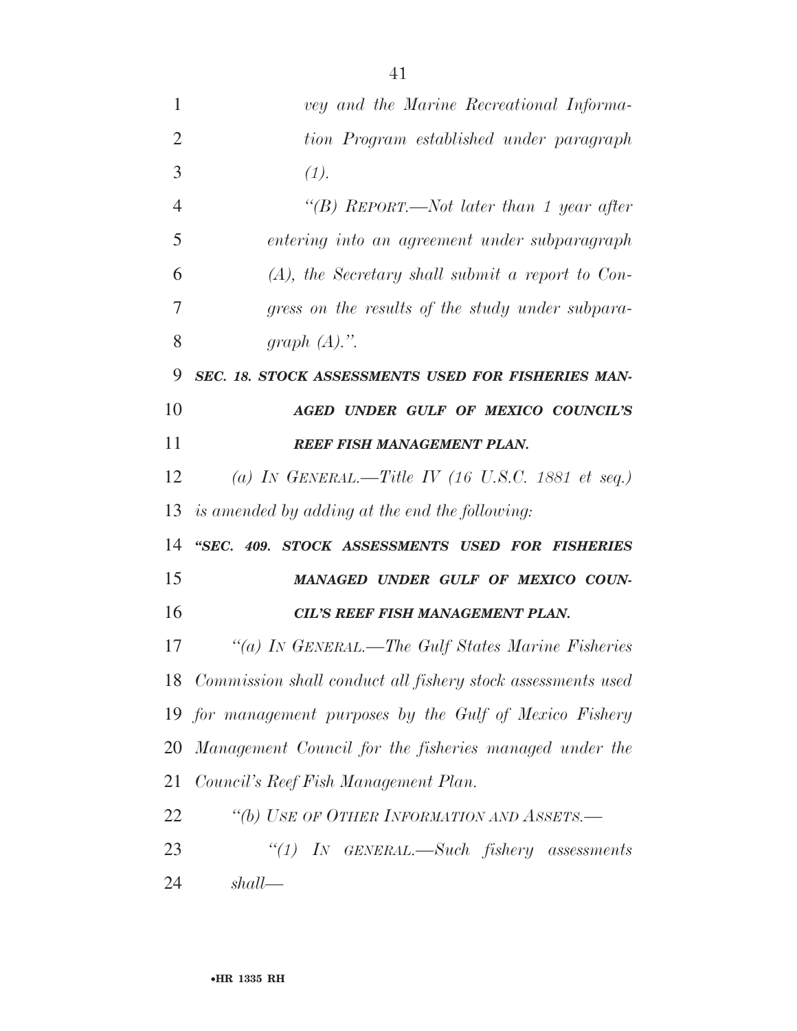| 1              | vey and the Marine Recreational Informa-                       |
|----------------|----------------------------------------------------------------|
| $\overline{2}$ | tion Program established under paragraph                       |
| 3              | (1).                                                           |
| 4              | "(B) REPORT.—Not later than 1 year after                       |
| 5              | entering into an agreement under subparagraph                  |
| 6              | $(A)$ , the Secretary shall submit a report to Con-            |
| 7              | gress on the results of the study under subpara-               |
| 8              | graph $(A)$ .".                                                |
| 9              | SEC. 18. STOCK ASSESSMENTS USED FOR FISHERIES MAN-             |
| 10             | AGED UNDER GULF OF MEXICO COUNCIL'S                            |
| 11             | <b>REEF FISH MANAGEMENT PLAN.</b>                              |
| 12             | (a) IN GENERAL.—Title IV (16 U.S.C. 1881 et seq.)              |
| 13             | is amended by adding at the end the following:                 |
| 14             | "SEC. 409. STOCK ASSESSMENTS USED FOR FISHERIES                |
| 15             | MANAGED UNDER GULF OF MEXICO COUN-                             |
| 16             | <b>CIL'S REEF FISH MANAGEMENT PLAN.</b>                        |
| 17             | "(a) IN GENERAL.—The Gulf States Marine Fisheries              |
|                | 18 Commission shall conduct all fishery stock assessments used |
|                | 19 for management purposes by the Gulf of Mexico Fishery       |
| 20             | Management Council for the fisheries managed under the         |
| 21             | Council's Reef Fish Management Plan.                           |
| 22             | "(b) USE OF OTHER INFORMATION AND ASSETS.-                     |
| 23             | "(1) In GENERAL.—Such fishery assessments                      |
| 24             | shall                                                          |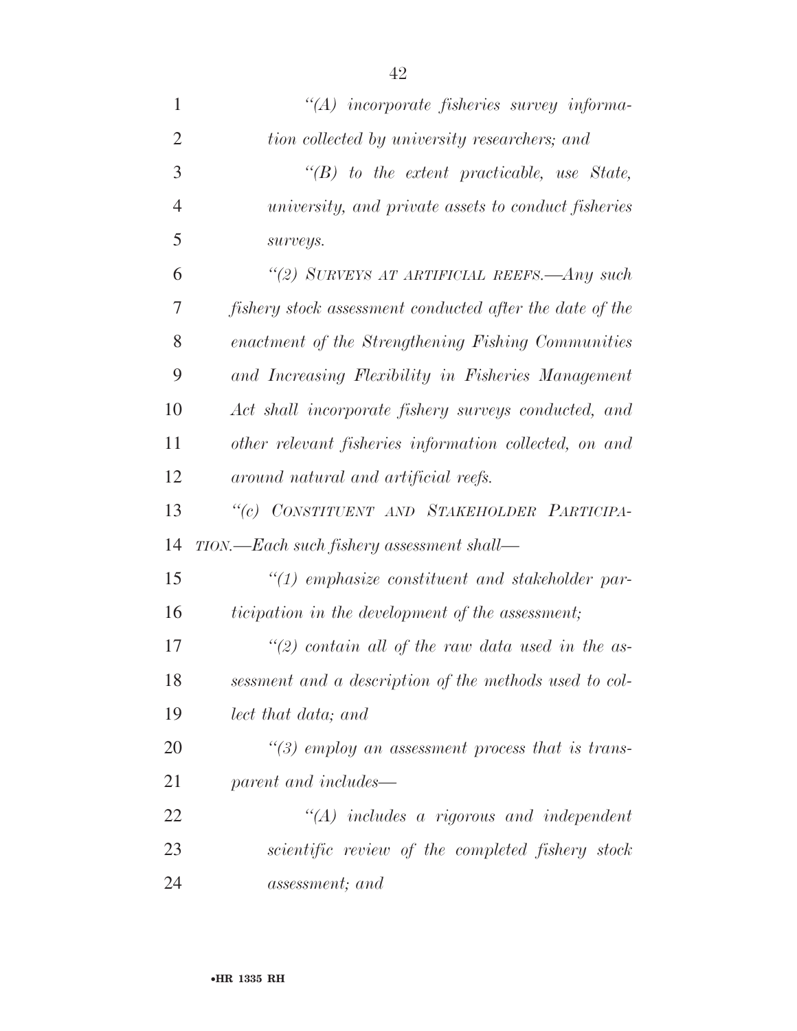| 1              | $\lq\lq (A)$ incorporate fisheries survey informa-         |
|----------------|------------------------------------------------------------|
| $\overline{2}$ | tion collected by university researchers; and              |
| 3              | $\lq\lq(B)$ to the extent practicable, use State,          |
| $\overline{4}$ | <i>university, and private assets to conduct fisheries</i> |
| 5              | surveys.                                                   |
| 6              | "(2) SURVEYS AT ARTIFICIAL REEFS.—Any such                 |
| 7              | fishery stock assessment conducted after the date of the   |
| 8              | enactment of the Strengthening Fishing Communities         |
| 9              | and Increasing Flexibility in Fisheries Management         |
| 10             | Act shall incorporate fishery surveys conducted, and       |
| 11             | other relevant fisheries information collected, on and     |
| 12             | around natural and artificial reefs.                       |
| 13             | "(c) CONSTITUENT AND STAKEHOLDER PARTICIPA-                |
| 14             | TION.—Each such fishery assessment shall—                  |
| 15             | $\lq(1)$ emphasize constituent and stakeholder par-        |
| 16             | ticipation in the development of the assessment;           |
| 17             | "(2) contain all of the raw data used in the as-           |
| 18             | sessment and a description of the methods used to col-     |
| 19             | lect that data; and                                        |
| 20             | $\lq(3)$ employ an assessment process that is trans-       |
| 21             | parent and includes—                                       |
| 22             | $\lq\lq (A)$ includes a rigorous and independent           |
| 23             | scientific review of the completed fishery stock           |
| 24             | assessment; and                                            |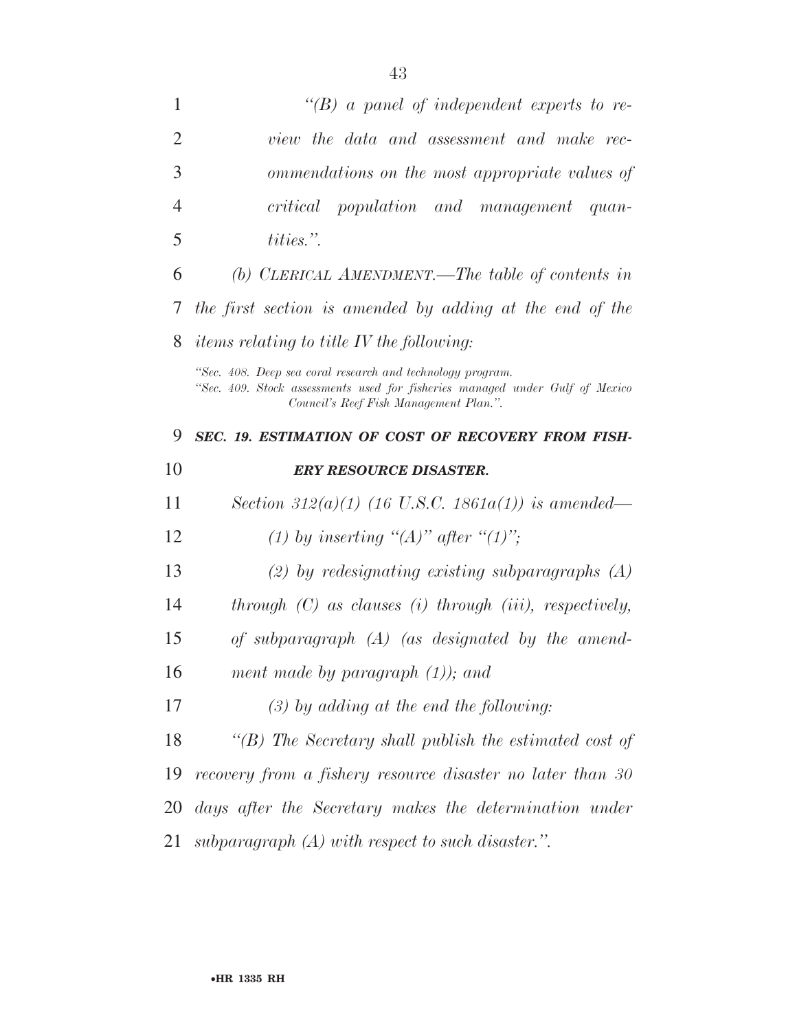| 1              | $\lq\lq(B)$ a panel of independent experts to re-                                                                                                                                    |
|----------------|--------------------------------------------------------------------------------------------------------------------------------------------------------------------------------------|
| $\overline{2}$ | view the data and assessment and make rec-                                                                                                                                           |
| 3              | ommendations on the most appropriate values of                                                                                                                                       |
| $\overline{4}$ | critical population and management quan-                                                                                                                                             |
| 5              | tities.".                                                                                                                                                                            |
| 6              | (b) CLERICAL AMENDMENT.—The table of contents in                                                                                                                                     |
| 7              | the first section is amended by adding at the end of the                                                                                                                             |
| 8              | <i>items relating to title IV the following:</i>                                                                                                                                     |
|                | "Sec. 408. Deep sea coral research and technology program.<br>"Sec. 409. Stock assessments used for fisheries managed under Gulf of Mexico<br>Council's Reef Fish Management Plan.". |
| 9              | SEC. 19. ESTIMATION OF COST OF RECOVERY FROM FISH-                                                                                                                                   |
| 10             | <b>ERY RESOURCE DISASTER.</b>                                                                                                                                                        |
|                |                                                                                                                                                                                      |
| 11             | Section 312(a)(1) (16 U.S.C. 1861a(1)) is amended—                                                                                                                                   |
| 12             | (1) by inserting "(A)" after "(1)";                                                                                                                                                  |
| 13             | $(2)$ by redesignating existing subparagraphs $(A)$                                                                                                                                  |
| 14             | through $(C)$ as clauses $(i)$ through $(iii)$ , respectively,                                                                                                                       |
| 15             | of subparagraph $(A)$ (as designated by the amend-                                                                                                                                   |
| 16             | ment made by paragraph $(1)$ ); and                                                                                                                                                  |
| 17             | $(3)$ by adding at the end the following:                                                                                                                                            |
| 18             | $\lq\lq(B)$ The Secretary shall publish the estimated cost of                                                                                                                        |
| 19             | recovery from a fishery resource disaster no later than 30                                                                                                                           |
| 20             | days after the Secretary makes the determination under                                                                                                                               |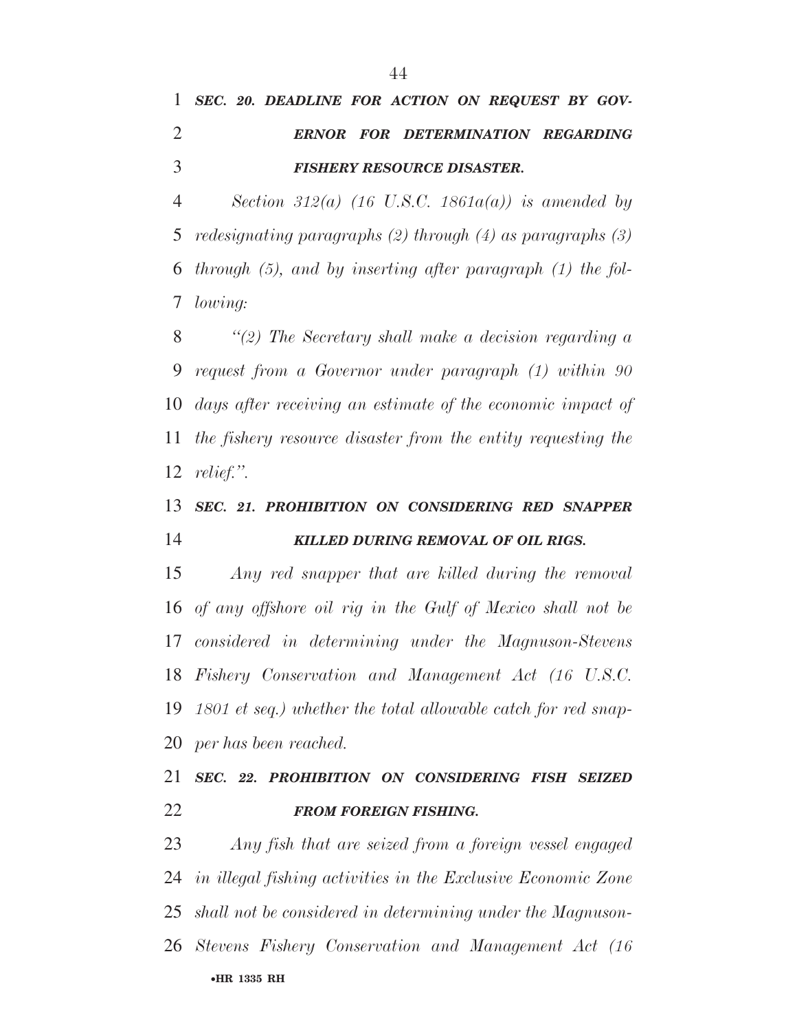## *SEC. 20. DEADLINE FOR ACTION ON REQUEST BY GOV- ERNOR FOR DETERMINATION REGARDING FISHERY RESOURCE DISASTER.*

 *Section 312(a) (16 U.S.C. 1861a(a)) is amended by redesignating paragraphs (2) through (4) as paragraphs (3) through (5), and by inserting after paragraph (1) the fol-lowing:* 

 *''(2) The Secretary shall make a decision regarding a request from a Governor under paragraph (1) within 90 days after receiving an estimate of the economic impact of the fishery resource disaster from the entity requesting the relief.''.* 

### *SEC. 21. PROHIBITION ON CONSIDERING RED SNAPPER KILLED DURING REMOVAL OF OIL RIGS.*

 *Any red snapper that are killed during the removal of any offshore oil rig in the Gulf of Mexico shall not be considered in determining under the Magnuson-Stevens Fishery Conservation and Management Act (16 U.S.C. 1801 et seq.) whether the total allowable catch for red snap-per has been reached.* 

## *SEC. 22. PROHIBITION ON CONSIDERING FISH SEIZED FROM FOREIGN FISHING.*

•**HR 1335 RH** *Any fish that are seized from a foreign vessel engaged in illegal fishing activities in the Exclusive Economic Zone shall not be considered in determining under the Magnuson-Stevens Fishery Conservation and Management Act (16*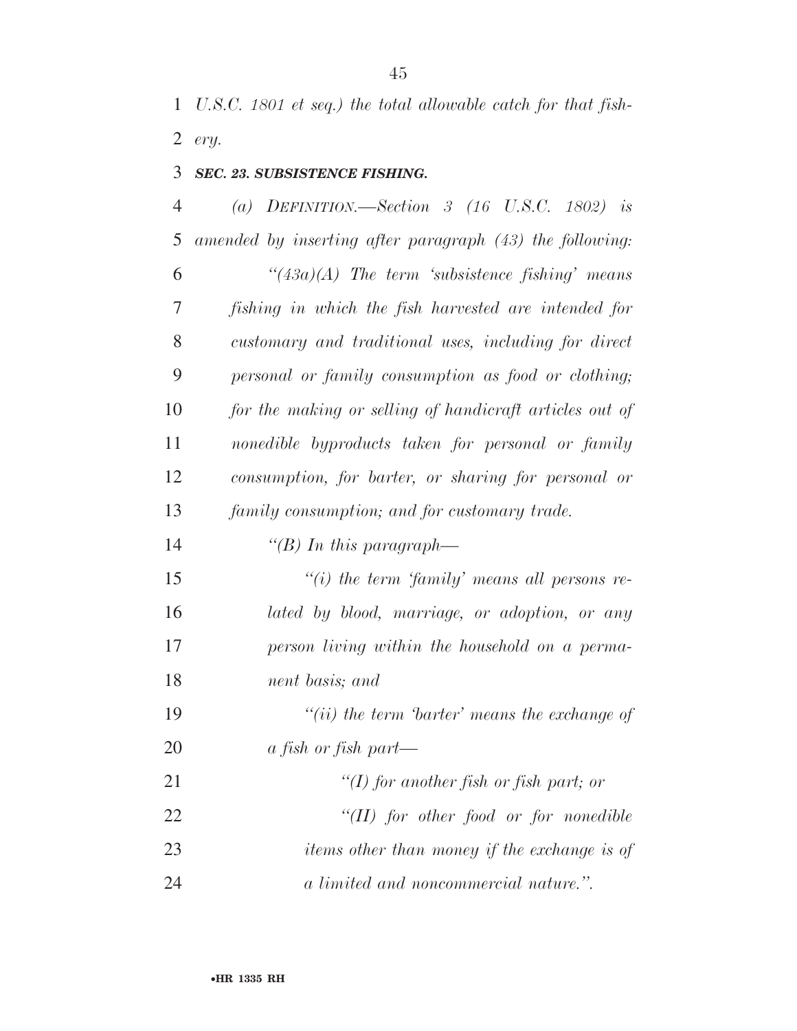*U.S.C. 1801 et seq.) the total allowable catch for that fish-ery.* 

#### *SEC. 23. SUBSISTENCE FISHING.*

 *(a) DEFINITION.—Section 3 (16 U.S.C. 1802) is amended by inserting after paragraph (43) the following: ''(43a)(A) The term 'subsistence fishing' means fishing in which the fish harvested are intended for customary and traditional uses, including for direct personal or family consumption as food or clothing; for the making or selling of handicraft articles out of nonedible byproducts taken for personal or family consumption, for barter, or sharing for personal or family consumption; and for customary trade.* 

*''(B) In this paragraph—* 

 *''(i) the term 'family' means all persons re- lated by blood, marriage, or adoption, or any person living within the household on a perma-nent basis; and* 

 *''(ii) the term 'barter' means the exchange of a fish or fish part—* 

 *''(I) for another fish or fish part; or ''(II) for other food or for nonedible items other than money if the exchange is of a limited and noncommercial nature.''.*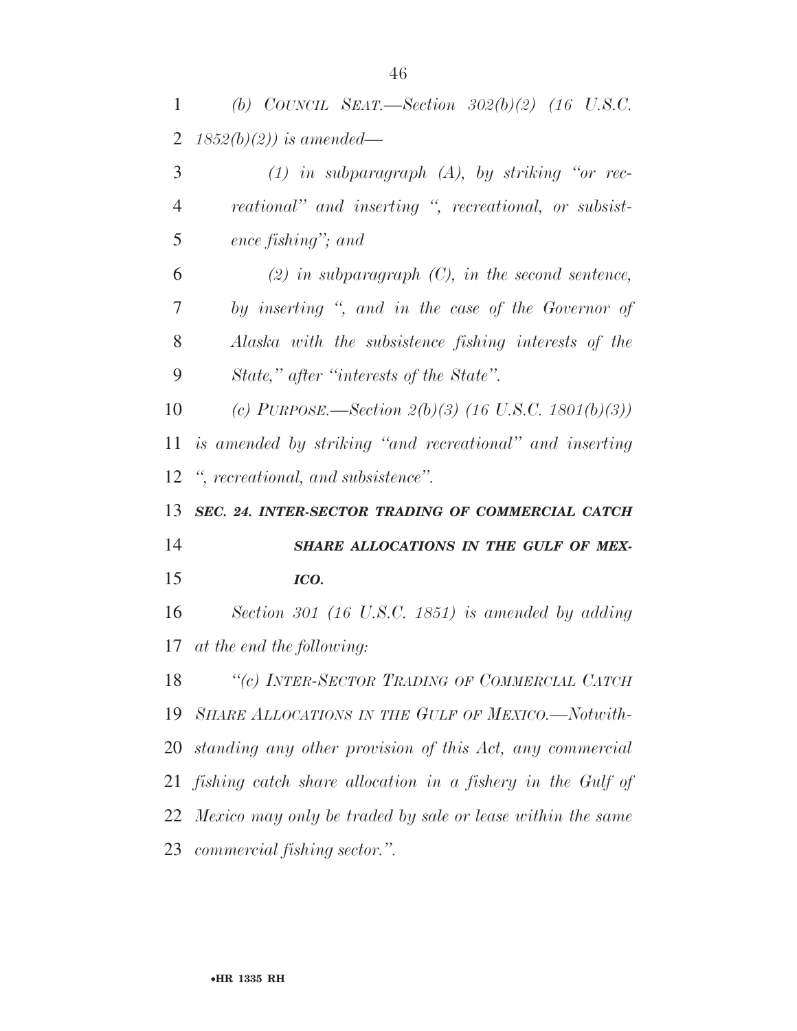| 1              | (b) COUNCIL SEAT.—Section $302(b)(2)$ (16 U.S.C.              |
|----------------|---------------------------------------------------------------|
| $\overline{2}$ | $1852(b)(2)$ ) is amended—                                    |
| 3              | $(1)$ in subparagraph $(A)$ , by striking "or rec-            |
| $\overline{4}$ | reational" and inserting ", recreational, or subsist-         |
| 5              | ence fishing"; and                                            |
| 6              | $(2)$ in subparagraph $(C)$ , in the second sentence,         |
| 7              | by inserting ", and in the case of the Governor of            |
| 8              | Alaska with the subsistence fishing interests of the          |
| 9              | State," after "interests of the State".                       |
| 10             | (c) PURPOSE.—Section $2(b)(3)$ (16 U.S.C. 1801(b)(3))         |
| 11             | is amended by striking "and recreational" and inserting       |
| 12             | ", recreational, and subsistence".                            |
|                |                                                               |
|                | 13 SEC. 24. INTER-SECTOR TRADING OF COMMERCIAL CATCH          |
| 14             | SHARE ALLOCATIONS IN THE GULF OF MEX-                         |
| 15             | ICO.                                                          |
| 16             | Section 301 (16 U.S.C. 1851) is amended by adding             |
|                | 17 at the end the following:                                  |
|                | 18 "(c) INTER-SECTOR TRADING OF COMMERCIAL CATCH              |
|                | 19 SHARE ALLOCATIONS IN THE GULF OF MEXICO.-Notwith-          |
|                | 20 standing any other provision of this Act, any commercial   |
|                | 21 fishing catch share allocation in a fishery in the Gulf of |
|                | 22 Mexico may only be traded by sale or lease within the same |
|                | 23 commercial fishing sector.".                               |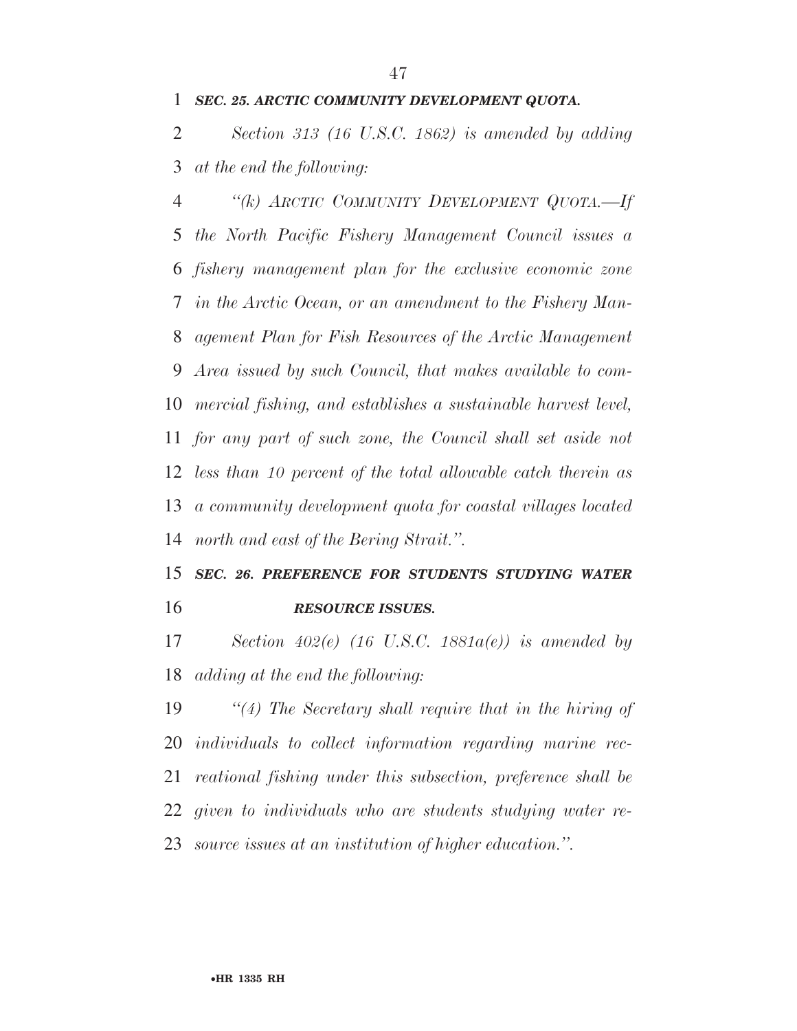#### *SEC. 25. ARCTIC COMMUNITY DEVELOPMENT QUOTA.*

 *Section 313 (16 U.S.C. 1862) is amended by adding at the end the following:* 

 *''(k) ARCTIC COMMUNITY DEVELOPMENT QUOTA.—If the North Pacific Fishery Management Council issues a fishery management plan for the exclusive economic zone in the Arctic Ocean, or an amendment to the Fishery Man- agement Plan for Fish Resources of the Arctic Management Area issued by such Council, that makes available to com- mercial fishing, and establishes a sustainable harvest level, for any part of such zone, the Council shall set aside not less than 10 percent of the total allowable catch therein as a community development quota for coastal villages located north and east of the Bering Strait.''.* 

## *SEC. 26. PREFERENCE FOR STUDENTS STUDYING WATER RESOURCE ISSUES.*

 *Section 402(e) (16 U.S.C. 1881a(e)) is amended by adding at the end the following:* 

 *''(4) The Secretary shall require that in the hiring of individuals to collect information regarding marine rec- reational fishing under this subsection, preference shall be given to individuals who are students studying water re-source issues at an institution of higher education.''.*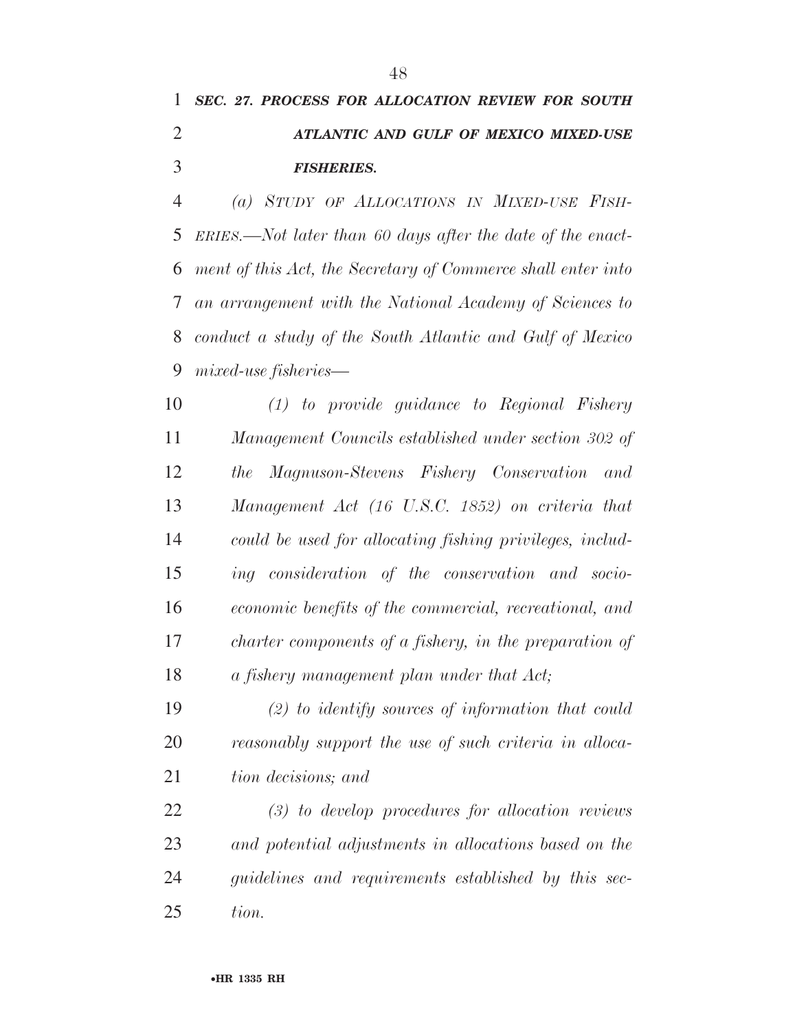## *SEC. 27. PROCESS FOR ALLOCATION REVIEW FOR SOUTH ATLANTIC AND GULF OF MEXICO MIXED-USE FISHERIES.*

 *(a) STUDY OF ALLOCATIONS IN MIXED-USE FISH- ERIES.—Not later than 60 days after the date of the enact- ment of this Act, the Secretary of Commerce shall enter into an arrangement with the National Academy of Sciences to conduct a study of the South Atlantic and Gulf of Mexico mixed-use fisheries—* 

 *(1) to provide guidance to Regional Fishery Management Councils established under section 302 of the Magnuson-Stevens Fishery Conservation and Management Act (16 U.S.C. 1852) on criteria that could be used for allocating fishing privileges, includ- ing consideration of the conservation and socio- economic benefits of the commercial, recreational, and charter components of a fishery, in the preparation of a fishery management plan under that Act;* 

 *(2) to identify sources of information that could reasonably support the use of such criteria in alloca-tion decisions; and* 

 *(3) to develop procedures for allocation reviews and potential adjustments in allocations based on the guidelines and requirements established by this sec-tion.*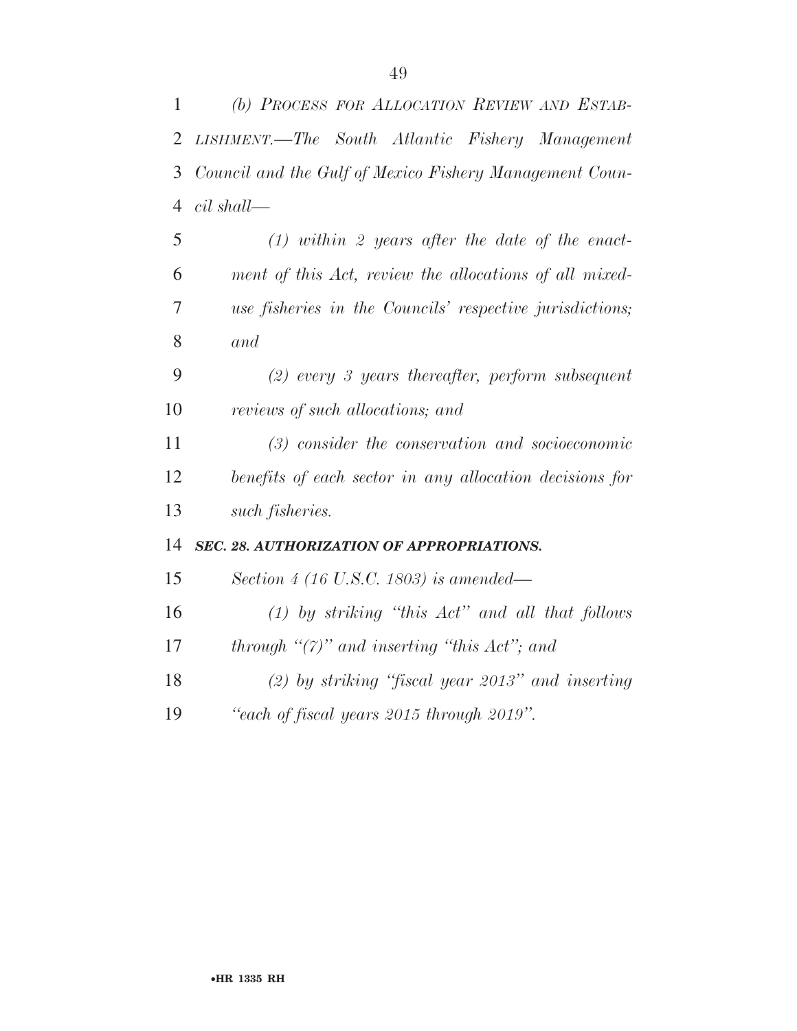| $\mathbf{1}$   | (b) PROCESS FOR ALLOCATION REVIEW AND ESTAB-             |
|----------------|----------------------------------------------------------|
| $\overline{2}$ | LISHMENT.—The South Atlantic Fishery Management          |
| 3              | Council and the Gulf of Mexico Fishery Management Coun-  |
| $\overline{4}$ | $cil$ shall—                                             |
| 5              | $(1)$ within 2 years after the date of the enact-        |
| 6              | ment of this Act, review the allocations of all mixed-   |
| $\overline{7}$ | use fisheries in the Councils' respective jurisdictions; |
| 8              | and                                                      |
| 9              | $(2)$ every 3 years thereafter, perform subsequent       |
| 10             | reviews of such allocations; and                         |
| 11             | $(3)$ consider the conservation and socioeconomic        |
| 12             | benefits of each sector in any allocation decisions for  |
| 13             | such fisheries.                                          |
| 14             | SEC. 28. AUTHORIZATION OF APPROPRIATIONS.                |
| 15             | Section 4 (16 U.S.C. 1803) is amended—                   |
| 16             | $(1)$ by striking "this $Act$ " and all that follows     |
| 17             | through " $(7)$ " and inserting "this Act"; and          |
| 18             | $(2)$ by striking "fiscal year 2013" and inserting       |
| 19             | "each of fiscal years 2015 through 2019".                |